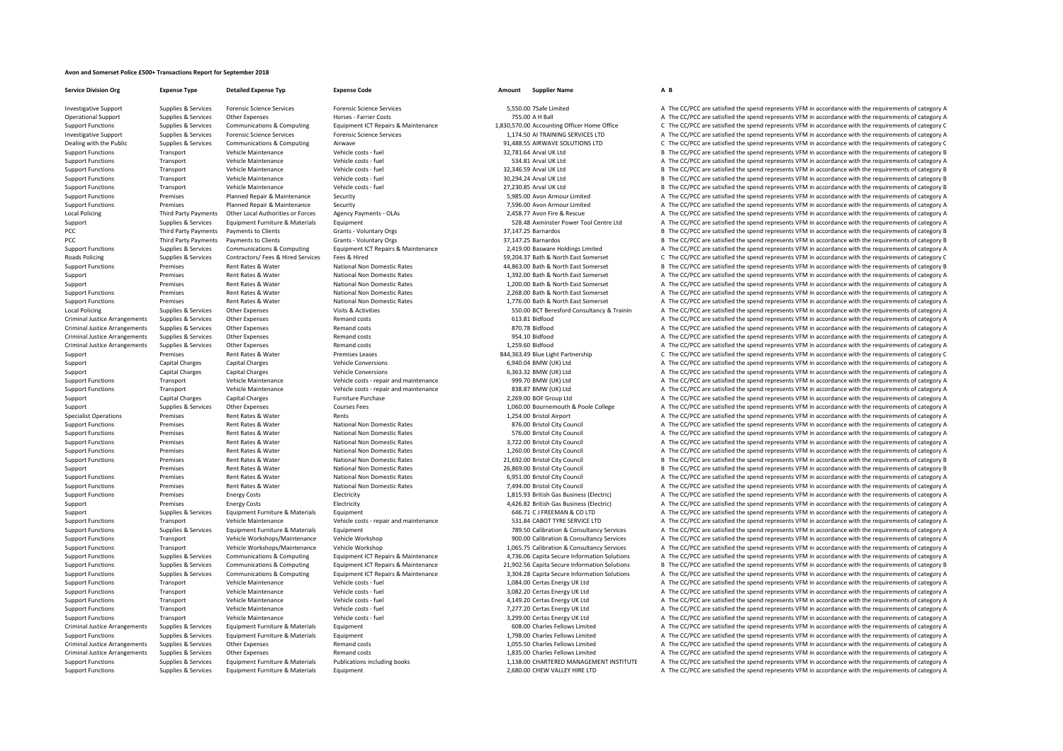## **Avon and Somerset Police £500+ Transactions Report for September 2018**

**Service Division**Local Policing **PCC Third Party Payments** PCC Third Party Payments **Roads Policing Local Policing** Criminal JusticeCriminal JusticeCriminal JusticeCriminal JusticeCriminal JusticeCriminal JusticeCriminal Justice

**Org Expense Type Detailed Expense Typ Expense Code Amount Supplier Name A B**

Investigative Support Support Support Support Services Forensic Science Services Forensic Science Services Forensic Science Services Forensic Science Services Forensic Science Services Forensic Science Services Forensic Sc

Operational Support Supplies & Services Other Expenses Morses • Farrier Costs Horses • Farrier Costs 755.00 A H Ball A The CC/PCC are satisfied the spend represents VFM in accordance with the requirements of category A Sup Supplies & Services Communications & Computing Equipment ICT Repairs & Maintenance 1.830.570.00 Accounting Officer Home Office C The CC/PCC are satisfied the spend represents VFM in accordance with the requirements of cate Experience of the CONFORT Supplies & Services of Permain Science Services Forensic Science Services Forensic Science Services Forensic Science Services Forensic Science Services and the control of the CONFORT AIRNING SERVI Dealing with the Public Supplies & Services Communications & Computing Airwave 91,488.55 AIRWAVE SOLUTIONS LTD C The CC/PCC are satisfied the spend represents VFM in accordance with the requirements of category C Support Functions Transport Vehicle Maintenance Vehicle costs - fuel Vehicle costs - fuel 32,781.64 Arval UK Ltd B The CC/PCC are satisfied the spend represents VFM in accordance with the requirements of category B Support Functions Transport Vehicle Maintenance Vehicle costs fuel 534.81 Arral UK Ltd A The CC/PCC are satisfied the spend represents VFM in accordance with the requirements of category A Support Functions Transport Vehicle Maintenance Vehicle costs - fuel vehicle costs - fuel 32,346.59 Arval UK Ltd B The CC/PCC are satisfied the spend represents VFM in accordance with the requirements of category B Vehicle Transport Vehicle Maintenance Vehicle costs – fuel 30,294.24 Arval UK Itd B The CC/PCC are satisfied the spend represents VFM in accordance with the requirements of category B Support Functions Transport Vehicle Maintenance Vehicle costs fuel 27,230.85 Arval UK Ltd B The CC/PCC are satisfied the spend represents VFM in accordance with the requirements of category B Support Functions Premises Planned Repair & Maintenance Security Security 5,985.00 Avon Armour Limited A The CC/PCC are satisfied the spend represents VFM in accordance with the requirements of category A Support Functions Premises Planned Repair & Maintenance Security 7,596.00 Avon Armour Limited A The CC/PCC are satisfied the spend represents VFM in accordance with the requirements of category A The Critical A The Critica A The CC/PCC are satisfied the spend represents VFM in accordance with the requirements of category A Support Supplies & Services Equipment Furniture & Materials Equipment Furniture & Materials Equipment Furniture & Materials Equipment Support Stategory A The CC/PCC are satisfied the spend represents VFM in accordance with Payments to Clients Crants Crants Voluntary Orgs 37,147.25 Barnardos 37,147.25 Barnardos B The CC/PCC are satisfied the spend represents VFM in accordance with the requirements of category B Payments to Clients Scrants - Voluntary Orgs 37,147.25 Barnardos 37,147.25 Barnardos B The CC/PCC are satisfied the spend represents VFM in accordance with the requirements of category B Sunnort Eunctions Sunnlies & Services Communications & Communications & Communications & Communications & Communications Foundment CT Repairs & Maintenance 2019 00 Bassware Holdings Limited a The CC/PCC are satisfied the s Poplies & Services Contractors/ Fees & Hired Services Fees & Hired Fees & Hired Fees & Hired Services Fees & Hired Services Fees & Hired Services Fees & Hired Services Fees & Hired Services Fees & Hired Services Fees & Hir Support Functions Premises Rent Rates & Water National Non Domestic Rates 44,863.00 Bath & North East Somerset B The CC/PCC are satisfied the spend represents VFM in accordance with the requirements of category B Support Premises Rent Rates & Water National Non Domestic Rates 1,392.00 Bath & North East Somerset A The CC/PCC are satisfied the spend represents VFM in accordance with the requirements of category A Support Premises Rent Rates & Water National Non Domestic Rates 1,200.00 Bath & North East Somerset A The CC/PCC are satisfied the spend represents VFM in accordance with the requirements of category A Support Functions Premises Rent Rates & Water National Non Domestic Rates 2,268.00 Bath & North East Somerset A The CC/PCC are satisfied the spend represents VFM in accordance with the requirements of category A The Criter Support Functions Premises Rent Rates Rent Rates National Non Domestic Rates 1,776.00 Bath & North East Somerset A The CC/PCC are satisfied the spend represents VFM in accordance with the requirements of category A The CC/ Supplies & Services Other Expenses Visits & Activities Visits Activities Supplies 550.00 BCT Beresford Consultancy & Trainin A The CC/PCC are satisfied the spend represents VFM in accordance with the requirements of catego Arrangements Supplies & Services Other Expenses Category A The Companies of category A The Corporation of the spend represents VFM in accordance with the requirements of category A The Supplies & Services Other Expenses Ca Arrangements Supplies & Services Other Expenses Remand costs 870.78 Bidfood A The CC/PCC are satisfied the spend represents VFM in accordance with the requirements of category A Supplies & Services Other Expenses Remand costs 954.0 Bidfood A The CC/PC are satisfied the spend represents VFM in accordance with the requirements of category A Arrangements Supplies & Services Other Expenses Remand costs 1,259.60 Bidfood A The CC/PCC are satisfied the spend represents VFM in accordance with the requirements of category A Support Premises Premises Premises Rent Rates & Water Premises Leases Premises Leases 844,363.49 Blue Light Partnership C The CC/PCC are satisfied the spend represents VFM in accordance with the requirements of category C Support Capital Charges Capital Charges Vehicle Conversions Vehicle Conversions 6,940.04 BMW (UK) Ltd A The CC/PCC are satisfied the spend represents VFM in accordance with the requirements of category A Support Capital Charges Capital Charges Vehicle Conversions Vehicle Conversions 6,363.32 BMW (UK) Ltd A The CC/PCC are satisfied the spend represents VFM in accordance with the requirements of category A Support Functions Transport Vehicle Maintenance Vehicle costs - repair and maintenance 999.70 BMW (UK) Ltd A The CC/PCC are satisfied the spend represents VFM in accordance with the requirements of category A Support Functions Transport Vehicle Maintenance Vehicle Costs - repair and maintenance 838.87 BMW (UK) Ltd A The CC/PCC are satisfied the spend represents VFM in accordance with the requirements of category A The Creative Support Capital Charges Capital Charges Furniture Purchase Furniture Purchase 2,269.00 BOF Group Ltd A The CC/PCC are satisfied the spend represents VFM in accordance with the requirements of category A Support Supplies & Services Other Expenses Courses Fees Courses Fees 1,060.00 Bournemouth & Poole College A The CC/PCC are satisfied the spend represents VFM in accordance with the requirements of category A Specialist Operations Premises Rent Rates & Water Rents 1,254.00 Bristol Airport A The CC/PCC are satisfied the spend represents VFM in accordance with the requirements of category A Support Functions Premises Rent Rates & Water National Non Domestic Rates 876.00 Bristol City Council A The CC/PCC are satisfied the spend represents VFM in accordance with the requirements of category A Support Functions Premises Rent Rates & Water National Non Domestic Rates ST6.00 Bristol City Council A The CC/PCC are satisfied the spend represents VFM in accordance with the requirements of category A Support Functions Premises Rent Rates & Water National Non Domestic Rates 3,722.00 Bristol City Council A The CC/PCC are satisfied the spend represents VFM in accordance with the requirements of category A Support Functions Premises Rent Rates & Water National Non Domestic Rates 1,260.00 Bristol City Council A The CC/PCC are satisfied the spend represents VFM in accordance with the requirements of category A Support Functions Premises Rent Rates & Water National Non Domestic Rates 21,692.00 Bristol City Council B The CC/PCC are satisfied the spend represents VFM in accordance with the requirements of category B Support Premises Rent Rates & Water National Non Domestic Rates 26,869.00 Bristol City Council B The CC/PCC are satisfied the spend represents VFM in accordance with the requirements of category B Support Functions Premises Rent Rates & Water National Non Domestic Rates 6,951.00 Bristol City Council A The CC/PCC are satisfied the spend represents VFM in accordance with the requirements of category A Support Functions Premises Rent Rates & Water National Non Domestic Rates 7,494.00 Bristol City Council A The CC/PCC are satisfied the spend represents VFM in accordance with the requirements of category A Support Functions Premises Energy Costs Electricity Electricity A The CC/PCC are satisfied the spend represents VFM in accordance with the requirements of category A Support Premises Energy Costs Electricity Electricity Electricity Electricity Electricity and the Support A The CC/PCC are satisfied the spend represents VFM in accordance with the requirements of category A Support Suppor Support Supplies & Services Foulyment Furniture & Materials Foulyment 646.71 C J FREEMAN & CO LTD A The CC/PCC are satisfied the spend represents VFM in accordance with the requirements of category A Support Functions Transport Vehicle Maintenance Vehicle costs - repair and maintenance S31.84 CABOT TYRE SERVICE LTD A The CC/PCC are satisfied the spend represents VFM in accordance with the requirements of category A Support Functions Supplies & Services Equipment Furniture & Materials Equipment Functions and the materials Equipment The CONSultancy Services A The CC/PCC are satisfied the spend represents VFM in accordance with the requ Support Functions Transport Vehicle Workshops/Maintenance Vehicle Workshop 900.00 Calibration & Consultancy Services A The CC/PCC are satisfied the spend represents VFM in accordance with the requirements of category A Support Functions Transport Vehicle Workshops/Maintenance Vehicle Workshop 1,065.75 Calibration & Consultancy Services A The CC/PCC are satisfied the spend represents VFM in accordance with the requirements of category A Support Functions Supplies & Services Communications & Computing Equipment ICT Repairs & Maintenance 4.736.06 Capita Secure Information Solutions A The CC/PCC are satisfied the spend represents VFM in accordance with the r Support Functions Supplies & Services Communications & Computing Equipment ICT Repairs & Maintenance 21,902.56 Capita Secure Information Solutions B The CC/PCC are satisfied the spend represents VFM in accordance with the A The CC/PCC are satisfied the spend represents VFM in accordance with the requirements of category A Support Functions Transport Vehicle Maintenance Vehicle costs - fuel Vehicle costs - fuel 1,084.00 Certas Energy UK Ltd A The CC/PCC are satisfied the spend represents VFM in accordance with the requirements of category A Support Functions Transport Vehicle Maintenance Vehicle costs ‐ fuel Vehicle costs ‐ fuel 3,082.20 Certas Energy UK Ltd A The CC/PCC are satisfied the spend represents VFM in accordance with the requirements of category A Support Functions Transport Vehicle Maintenance Vehicle costs - fuel Vehicle costs - fuel 4,149.20 Certas Energy UK Ltd A The CC/PCC are satisfied the spend represents VFM in accordance with the requirements of category A Transport Vehicle Maintenance Vehicle costs ‐ fuel Vehicle costs ‐ fuel A The CZ77.20 Certas Energy UK Ltd A The CC/PCC are satisfied the spend represents VFM in accordance with the requirements of category A Support Functions Transport Vehicle Maintenance Vehicle costs - fuel Vehicle costs - fuel 3,299.00 Certas Energy UK Ltd A The CC/PCC are satisfied the spend represents VFM in accordance with the requirements of category A Arrangements Supplies & Supplies & Supplies Arrangement Funder Funder Funder Funder Funder Communicular Supplies A The CC/PCC are satisfied the spend represents VFM in accordance with the requirements of category A The Sup Support Functions Supplies & Services Equipment Furniture & Materials Equipment Equipment Equipment Equipment Equipment a The CC/PCC are satisfied A The CC/PCC are satisfied the spend represents VFM in accordance with the A The CC/PCC are satisfied the spend represents VFM in accordance with the requirements of category A Supplies & Services Other Expenses Remand costs and the Supplies Remand costs 1,835.00 Charles Fellows Limited A The CC/PCC are satisfied the spend represents VFM in accordance with the requirements of category A Supplies & Services Equipment Furniture & Materials Publications including books 1.138.00 CHARTERED MANAGEMENT INSTITUTE A The CC/PCC are satisfied the spend represents VFM in accordance with the requirements of category A Support Functions Supplies & Services Equipment Furniture & Materials Equipment expenditure and the content of category A The CC/PCC are satisfied the spend represents VFM in accordance with the requirements of category A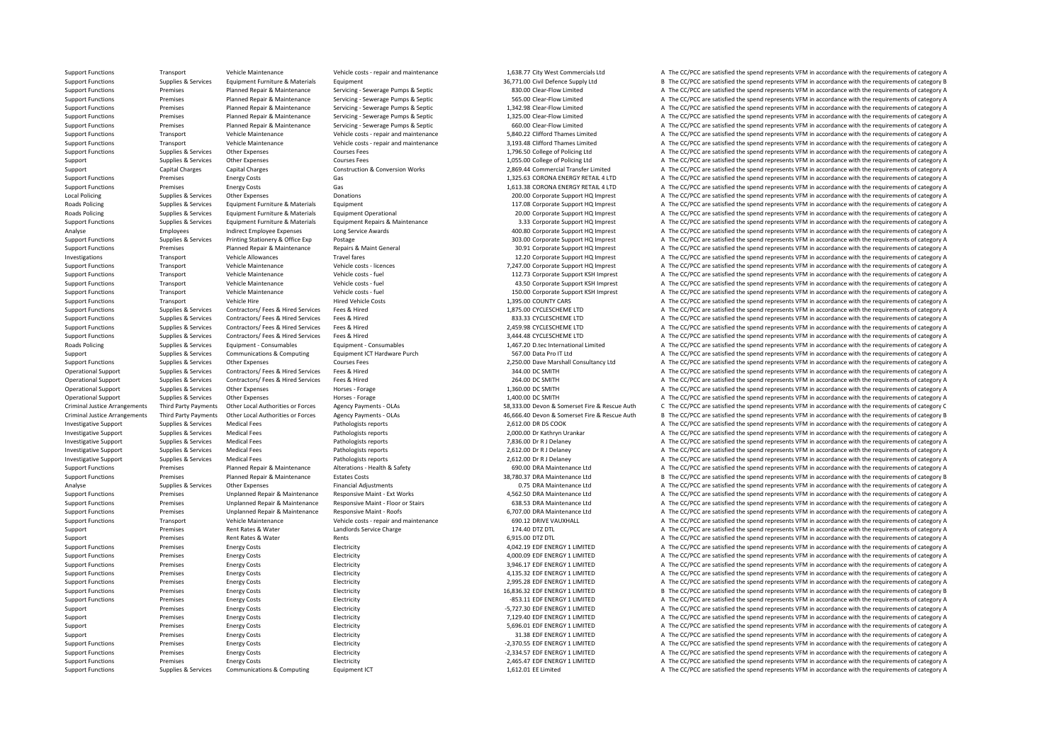**Local Policing Roads Policing** Roads Policing **Roads Policing** Criminal JusticeCriminal Justice

Support Functions Transport Vehicle Maintenance Vehicle costs - repair and maintenance and maintenance and the section of the CC/PCC are satisfied the spend represents VFM in accordance with the requirements of category A Support Functions Supplies & Services Equipment Furniture & Materials Equipment 36,771.00 Civil Defence Supply Ltd B The CC/PCC are satisfied the spend represents VFM in accordance with the requirements of category B Support Functions Premises Planned Repair & Maintenance Servicing ‐ Servicing ‐ Servicing ‐ Servicing ‐ Servicing Servicing Septic 830.00 Clear‐Flow Limited A The CC/PCC are satisfied the spend represents VFM in accordance Support Functions Premises Planned Repair & Maintenance Servicing ‐ Sewerage Pumps & Septic 565.00 Clear-Flow Limited A The CC/PCC are satisfied the spend represents VFM in accordance with the requirements of category A Th Premises Planned Repair & Maintenance Servicing ‐ Servicing ‐ Servicing ‐ Servicing ‐ Servicing ‐ Servicing ‐ Servicing ‐ Servicing ‐ Servicing ‐ Servicing ‐ Servicing ‐ Servicing ‐ Servicing ‐ Servicing ‐ Servicing ‐ Serv Support Functions Premises Planned Repair & Maintenance Servicing ‐ Serverage Pumps & Septic 1,325.00 Clear‐Flow Limited A The CC/PCC are satisfied the spend represents VFM in accordance with the requirements of category A Support Functions Premises Planned Repair & Maintenance Servicing ‐ Sewerage Pumps & Septic 660.00 Clear‐Flow Limited A The CC/PCC are satisfied the spend represents VFM in accordance with the requirements of category A Th Support Functions Transport Vehicle Maintenance Vehicle costs - repair and maintenance 5,840.22 Clifford Thames Limited A The CC/PCC are satisfied the spend represents VFM in accordance with the requirements of category A Support Functions Transport Vehicle Maintenance Vehicle costs ‐ repair and maintenance 3,193.48 Clifford Thames Limited A The CC/PCC are satisfied the spend represents VFM in accordance with the requirements of category A Support Functions Supplies & Services Other Expenses Courses Fees Courses Fees 1,796.50 College of Policing Ltd A The CC/PCC are satisfied the spend represents VFM in accordance with the requirements of category A Support Supplies & Services Other Expenses Courses Fees Courses Fees 1,055.00 College of Policing Ltd A The CC/PCC are satisfied the spend represents VFM in accordance with the requirements of category A Capital Charges Capital Charges Construction & Conversion Works 2,869.44 Commercial Transfer Limited A The CC/PCC are satisfied the spend represents VFM in accordance with the requirements of category A Support Functions Premises Energy Costs Gas Gas 1,325.63 CORONA ENERGY RETAIL 4 LTD A The CC/PCC are satisfied the spend represents VFM in accordance with the requirements of category A Support Functions Premises Energy Costs Gas Gas 1,613.38 CORONA ENERGY RETAIL 4 LTD A The CC/PCC are satisfied the spend represents VFM in accordance with the requirements of category A Policing Supplies & Services Other Expenses Donations 200.00 Corporate Support HQ Imprest A The CC/PCC are satisfied the spend represents VFM in accordance with the requirements of category A Policing Supplies & Services Equipment Furniture & Materials Equipment 117.08 Corporate Support HQ Imprest A The CC/PCC are satisfied the spend represents VFM in accordance with the requirements of category A Policing Supplies & Services Equipment Furniture & Materials Equipment Operational 20.00 Corporate Support HQ Imprest A The CC/PCC are satisfied the spend represents VFM in accordance with the requirements of category A Support Functions Supplies & Services Equipment Furniture & Materials Equipment Repairs & Maintenance 3.33 Corporate Support HQ Imprest A The CC/PCC are satisfied the spend represents VFM in accordance with the requirement Analyse Indirect Employees Long Service Awards Analyse Analyse Appload and the COVEC are satisfied the spend represents VFM in accordance with the requirements of category A Support Functions Supplies & Services Printing Stationery & Office Exp Postage 203.00 Corporate Support HQ Imprest A The CC/PCC are satisfied the spend represents VFM in accordance with the requirements of category A Support Functions Premises Planned Repair & Maintenance Repairs & Maint General 30.91 Corporate Support A The CC/PCC are satisfied the spend represents VFM in accordance with the requirements of category A Investigations Transport Vehicle Allowances Travel fares Travel fares Travel fares 12.20 Corporate Support HQ Imprest A The CC/PCC are satisfied the spend represents VFM in accordance with the requirements of category A Support Functions Transport Vehicle Maintenance Vehicle costs – licences 7,247.00 Corporate Support HQ Imprest A The CC/PCC are satisfied the spend represents VFM in accordance with the requirements of category A Support Functions Transport Support Vehicle Maintenance Vehicle costs - fuel vehicle costs - fuel 112.73 Corporate Support KSH Imprest A The CC/PCC are satisfied the spend represents VFM in accordance with the requirements Transport Vehicle Maintenance Vehicle costs ‐ fuel 43.50 Corporate Support KSH Imprest A The CC/PCC are satisfied the spend represents VFM in accordance with the requirements of category A Support Functions Transport Vehicle Maintenance Vehicle costs fuel vehicle costs fuel 150.00 Corporate Support KSH Imprest A The CC/PCC are satisfied the spend represents VFM in accordance with the requirements of category Support Functions Transport Vehicle Hire Hire Hired Vehicle Costs Hired Vehicle Costs 1,395.00 COUNTY CARS A The CC/PCC are satisfied the spend represents VFM in accordance with the requirements of category A Support Functions Supplies & Services Contractors/ Fees & Hired Services Fees & Hired Services Fees & Hired 1,875.00 CYCLESCHEME LTD A The CC/PCC are satisfied the spend represents VFM in accordance with the requirements o A The CC/PCC are satisfied the spend represents VFM in accordance with the requirements of category A Support Functions Supplies & Services Contractors/ Fees & Hired Services Fees & Hired Services Fees & Hired 2,459.98 CYCLESCHEME LTD A The CC/PCC are satisfied the spend represents VFM in accordance with the requirements o Support Functions Supplies & Services Contractors/ Fees & Hired Services Fees & Hired Services Fees & Hired 3,444.48 CYCLESCHEME LTD A The CC/PCC are satisfied the spend represents VFM in accordance with the requirements o Policing Supplies & Services Equipment - Consumables Equipment - Consumables Equipment - Consumables Equipment Folicing Supplies A The CC/PCC are satisfied the spend represents VFM in accordance with the requirements of ca Support Supplies & Services Communications & Computing Equipment ICT Hardware Purch 567.00 Data Pro IT Ltd A The CC/PCC are satisfied the spend represents VFM in accordance with the requirements of category A Support Functions Supplies & Services Other Expenses Courses Fees Courses Fees 2,250.00 Dave Marshall Consultancy Ltd A The CC/PCC are satisfied the spend represents VFM in accordance with the requirements of category A Th Operational Support Supplies & Services Contractors/ Fees & Hired Fees & Hired Services Fees & Hired Services Fees & Hired 344.00 DC SMITH A The CC/PCC are satisfied the spend represents VFM in accordance with the requirem Operational Support Supplies & Services Contractors/ Fees & Hired Services Fees & Hired Services Fees & Hired 264.00 DC SMITH A The CC/PCC are satisfied the spend represents VFM in accordance with the requirements of categ Operational Support Support Support Support Other Expenses Horses Forage 1,360.00 DC SMITH A The CC/PCC are satisfied the spend represents VFM in accordance with the requirements of category A Operational Support Supplies & Services Other Expenses Horses - Forage Horses - Forage Horses - Forage 1,400.00 DC SMITH A The CC/PCC are satisfied the spend represents VFM in accordance with the requirements of category A Third Party Payments Other Local Authorities or Forces Agency Payments - OLAs 58.333.00 Devon & Somerset Fire & Rescue Auth C. The CC/PCC are satisfied the spend represents VEM in accordance with the requirements of catego Third Party Payments Other Local Authorities or Forces Agency Payments - OLAs 46,666.40 Devon & Somerset Fire & Rescue Auth B The CC/PCC are satisfied the spend represents VFM in accordance with the requirements of categor Investigative Support Supplies & Services Medical Fees Pathologists reports Pathologists reports 2,612.00 DR DS COOK A The CC/PCC are satisfied the spend represents VFM in accordance with the requirements of category A The Investigative Support Supplies & Services Medical Fees Pathologists reports Pathologists reports 2,000.00 Dr Kathryn Urankar A The CC/PCC are satisfied the spend represents VFM in accordance with the requirements of catego Investigative Support Supplies & Services Medical Fees Pathologists reports 7,836.00 Dr R I Delaney A The CC/PCC are satisfied the spend represents VFM in accordance with the requirements of category A Investigative Support Supplies & Services Medical Fees Pathologists reports Pathologists reports 2,612.00 Dr R J Delaney A The CC/PCC are satisfied the spend represents VFM in accordance with the requirements of category A Investigative Support Supplies & Services Medical Fees Pathologists reports Pathologists reports 2,612.00 Dr R J Delaney A The CC/PCC are satisfied the spend represents VFM in accordance with the requirements of category A Premises Planned Repair & Maintenance Alterations - Health & Safety 690.00 DRA Maintenance Ltd A The CC/PCC are satisfied the spend represents VFM in accordance with the requirements of category A Support Functions Premises Planned Repair & Maintenance Estates Costs and a sample of the COSTS 28,780.37 DRA Maintenance Ltd B The CC/PCC are satisfied the spend represents VFM in accordance with the requirements of categ Analyse Supplies & Services Other Expenses Financial Adjustments Financial Adjustments Financial Adjustments and the COLOC are satisfied the spend represents VFM in accordance with the requirements of category A The COLOC Support Functions Premises Unplanned Repair & Maintenance Responsive Maint – Ext Works 4,562.50 DRA Maintenance Ltd A The CC/PCC are satisfied the spend represents VFM in accordance with the requirements of category A Support Functions Premises Unplanned Repair & Maintenance Responsive Maint - Floor or Stairs 638.53 DRA Maintenance Ltd A The CC/PCC are satisfied the spend represents VFM in accordance with the requirements of category A Support Functions Premises Unplanned Repair & Maintenance Responsive Maint - Roofs 6,707.00 DRA Maintenance Ltd A The CC/PCC are satisfied the spend represents VFM in accordance with the requirements of category A Support Functions Transport Vehicle Maintenance Vehicle costs - repair and maintenance 690.12 DRIVE VAUXHALL A The CC/PCC are satisfied the spend represents VFM in accordance with the requirements of category A The Crip of Support Premises Rent Rates & Water Landlords Service Charge 174.40 DTZ DTL A The CC/PCC are satisfied the spend represents VFM in accordance with the requirements of category A Support Premises Rent Rates & Water Rents Rents Rents Rents Contains a The CC/PCC are satisfied the spend represents VFM in accordance with the requirements of category A Support Functions Premises Energy Costs Electricity Electricity Electricity Electricity and the support Electricity and the CC/PCC are satisfied the spend represents VFM in accordance with the requirements of category A Th Support Functions Premises Energy Costs Electricity Electricity and the CODUC Care satisfied the spend represents VFM in accordance with the requirements of category A The CODUC are satisfied the spend represents VFM in ac Support Functions Premises Energy Costs Electricity Electricity and Electricity and the Support Electricity 3,946.17 EDF ENERGY 1 LIMITED A The CC/PCC are satisfied the spend represents VFM in accordance with the requireme Support Functions Premises Energy Costs Electricity Electricity A,135.32 EDF ENERGY 1 LIMITED A The CC/PCC are satisfied the spend represents VFM in accordance with the requirements of category A Support Functions Premises Energy Costs Electricity Electricity Electricity 2,995.28 EDF ENERGY 1 LIMITED A The CC/PCC are satisfied the spend represents VFM in accordance with the requirements of category A The Criterical Support Functions Premises Energy Costs Electricity Electricity and the COSTS Electricity Electricity and the requirements of category B The CC/PCC are satisfied the spend represents VFM in accordance with the requirements Support Functions Premises Energy Costs Electricity Electricity **Electricity** Electricity **Electricity Electricity A The CC/PCC are satisfied the spend represents VFM in accordance with the requirements of category A** Support Premises Energy Costs Electricity Electricity **Electricity Electricity Electricity Electricity Electricity Electricity Electricity Electricity Electricity Electricity Electricity Electricity** Support Premises Energy Costs Electricity Electricity Electricity Electricity and the Support A The CC/PCC are satisfied the spend represents VFM in accordance with the requirements of category A The CONCC are satisfied th Support Premises Energy Costs Electricity Electricity and the content of category A The CC/PCC are satisfied the spend represents VFM in accordance with the requirements of category A Support Premises Energy Costs Electricity Electricity and the Support and Support A The CC/PCC are satisfied the spend represents VFM in accordance with the requirements of category A Support Functions Premises Energy Costs Electricity Electricity **Electricity Electricity Electricity Electricity Electricity 2,370.55 EDF ENERGY 1 LIMITED** A The CC/PCC are satisfied the spend represents VFM in a Support Functions Premises Energy Costs Functions Electricity **Examples Energy Costs Electricity Functions** and the spend represents VFM in accordance with the requirements of category A Support Functions Premises Energy Costs Electricity Electricity A The COST 2,465.47 EDF ENERGY 1 LIMITED A The CC/PCC are satisfied the spend represents VFM in accordance with the requirements of category A Support Functions Supplies & Services Communications & Computing Equipment ICT examples and the state of the COLOC are satisfied the spend represents VFM in accordance with the requirements of category A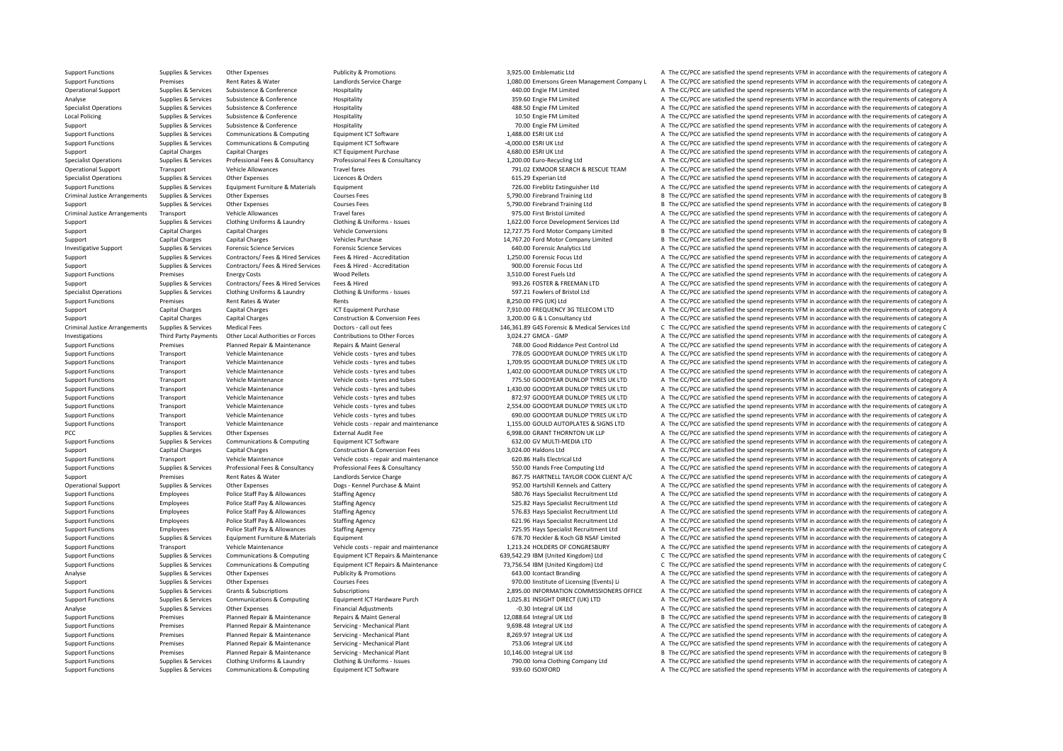**Local Policing** Criminal JusticeCriminal JusticeCriminal Justice

Support Functions Supplies & Services Other Expenses Publicity & Promotions Publicity & Promotions 3,925.00 Emblematic Ltd A The CC/PCC are satisfied the spend represents VFM in accordance with the requirements of category Support Functions Premises Rent Rates & Water Landlords Service Charge 1,080.00 Emersons Green Management Company L A The CC/PCC are satisfied the spend represents VFM in accordance with the requirements of category A Operational Support Supplies & Services Subsistence & Conference Hospitality Hospitality and the spend a The CC/PCC are satisfied the spend represents VFM in accordance with the requirements of category A The Criteria A Th Analyse Supplies & Services Subsistence & Conference Hospitality Hospitality and a Service and the spend of the CC/PCC are satisfied the spend represents VFM in accordance with the requirements of category A The CC/PCC are Specialist Operations Supplies Supplies A The CC/PCC are satisfied the spend represents VFM in accordance with the requirements of category A Policing Subsistence Subsistence Subsistence Hospitality and Hospitality and the Supplies of the Conference and Hospitality 10.50 Engie FM Limited a The CC/PCC are satisfied the spend represents VFM in accordance with the Support Supplies & Services Subsistence & Conference Hospitality Hospitality and the service Hospitality and the spend of the CC/PCC are satisfied the spend represents VFM in accordance with the requirements of category A Support Functions Supplies & Services Communications & Computing Foujoment ICT Software 1,488.00 ESRI UK Ltd A The CC/PCC are satisfied the spend represents VFM in accordance with the requirements of category A Support Functions Supportes Supporters Communications & Computing Equipment ICT Software examples and the computing a the CC/PCC are satisfied the spend represents VFM in accordance with the requirements of category A Support Capital Charges Capital Charges ICT Equipment Purchase 4,680.00 ESRI UK Ltd A The CC/PCC are satisfied the spend represents VFM in accordance with the requirements of category A Supplies & Services Professional Fees & Consultancy Professional Fees & Consultancy Professional Fees & Consultancy (1,200.00 Euro-Recycling Ltd A The CC/PCC are satisfied the spend represents VFM in accordance with the re Operational Support Transport Vehicle Allowances Travel fares Travel fares Travel faces 791.02 EXMOOR SEARCH & RESCUE TEAM A The CC/PCC are satisfied the spend represents VFM in accordance with the requirements of category Specialist Operations Supplies & Services Other Expenses Licences & Orders Licences A The CLIS CONNECT A The CC/PCC are satisfied the spend represents VFM in accordance with the requirements of category A Support Functions Supplies & Services Foulyment Furniture & Materials Foulyment 726.00 Fireblitz Extinguisher Ltd A The CC/PCC are satisfied the spend represents VFM in accordance with the requirements of category A Supplies & Services Other Expenses Courses Fees Services Courses Fees Services Courses Fees Services Courses Fees Services B The CC/PCC are satisfied the spend represents VFM in accordance with the requirements of category Support Supplies & Services Other Expenses Courses Fees Courses Fees Service A Courses Fees 5,790.00 Firebrand Training Ltd B The CC/PCC are satisfied the spend represents VFM in accordance with the requirements of categor Transport Vehicle Allowances Travel fares Travel fares and the Spend Travel fares and The CC/PCC are satisfied the spend represents VFM in accordance with the requirements of category A Supplies & Services Clothing Uniforms & Laundry Clothing & Uniforms - Issues and the Support of the CONNET A The CC/PCC are satisfied the spend represents VFM in accordance with the requirements of category A Clothing Unif Support Capital Charges Capital Charges Vehicle Conversions Vehicle Conversions 12,727.75 Ford Motor Company Limited B The CC/PCC are satisfied the spend represents VFM in accordance with the requirements of category B Support Capital Charges Capital Charges Vehicles Purchase Vehicles Purchase 14,767.20 Ford Motor Company Limited B The CC/PCC are satisfied the spend represents VFM in accordance with the requirements of category B Investigative Support Support of the CONSIDERATION of the CONSIDERATION of the CONSIDERATION of the CONSIDERATION of the CONSIDERATION of the CONSIDERATION of the CONSIDERATION of the CONSIDERATION of the CONSIDERATION of Support Support Support Services Contractors/ Fees & Hired Services Fees & Hired - Accreditation 1,250.00 Forensic Focus Ltd A The CC/PCC are satisfied the spend represents VFM in accordance with the requirements of catego Support Supportes Services Contractors/ Fees & Hired Services Fees & Hired - Accreditation 900.00 Forensic Focus Ltd A The CC/PCC are satisfied the spend represents VFM in accordance with the requirements of category A Support Functions Premises Energy Costs Wood Pellets Wood Pellets and A The CC/PCC are satisfied the spend represents VFM in accordance with the requirements of category A The Corrections Support Fuels Ltd A The CC/PCC are Support Supplies & Services Contractors/ Fees & Hired Services Fees & Hired Services Fees & Hired 993.26 FOSTER & FREEMAN LTD A The CC/PCC are satisfied the spend represents VFM in accordance with the requirements of categ Supplies & Services Clothing Uniforms & Laundry Clothing & Uniforms - Issues 597.21 Fowlers of Bristol Ltd A The CC/PCC are satisfied the spend represents VFM in accordance with the requirements of category A Support Functions Premises Rent Rates & Water Rents Rents Rents Rents Rents Rents Rents Rents Rents Rents Rent Rents Rents Rents Rents Rents Rents Rents Rents Rent Rents Rents Rent Rents Rents Rents Rents Rents Rents Rents Support Capital Charges Capital Charges Capital Charges 1CT Equipment Purchase 1CT Equipment Purchase 7,910.00 FREQUENCY 3G TELECOM LTD A The CC/PCC are satisfied the spend represents VFM in accordance with the requirement Support Capital Charges Capital Charges Construction & Conversion Fees 3,200.00 G & L Consultancy Ltd A The CC/PCC are satisfied the spend represents VFM in accordance with the requirements of category A Arrangements Supplies & Services Medical Fees Medical Fees Doctors - call out fees 2014 C 308 Forensic & Medical Services Ltd C The CC/PCC are satisfied the spend represents VFM in accordance with the requirements of categ Investigations Third Party Payments Other Local Authorities or Forces Contributions to Other Forces 3,024.27 GMCA ‐ GMP A The CC/PCC are satisfied the spend represents VFM in accordance with the requirements of category A Support Functions Premises Planned Repair & Maintenance Repairs & Maint General Repairs & Maint General dubes<br>
Support Functions Transport Transport Vehicle Maintenance Vehicle costs - tyres and tubes 778.05 GOODYEAR DUNLO Transport Vehicle Maintenance Vehicle costs ‐ tyres and tubes 778.05 GOODYEAR DUNLOP TYRES UK LTD A The CC/PCC are satisfied the spend represents VFM in accordance with the requirements of category A Support Functions Transport Vehicle Maintenance Vehicle costs – tyres and tubes 1,709.95 GOODYEAR DUNLOP TYRES UK LTD A The CC/PCC are satisfied the spend represents VFM in accordance with the requirements of category A Ve Support Functions Transport Vehicle Maintenance Vehicle costs - tyres and tubes 1,402.00 GOODYEAR DUNLOP TYRES UK LTD A The CC/PCC are satisfied the spend represents VFM in accordance with the requirements of category A Support Functions Transport Vehicle Maintenance Vehicle costs - tyres and tubes 775.50 GOODYEAR DUNLOP TYRES UK LTD A The CC/PCC are satisfied the spend represents VFM in accordance with the requirements of category A<br>Supp Support Functions Transport Vehicle Maintenance Vehicle costs tyres and tubes 1,430.00 GOODYEAR DUNLOP TYRES UK ITD A The CC/PCC are satisfied the spend represents VFM in accordance with the requirements of category A Support Functions Transport Vehicle Maintenance Vehicle costs - tyres and tubes 872.97 GOODYEAR DUNLOP TYRES UK LTD A The CC/PCC are satisfied the spend represents VFM in accordance with the requirements of category A The Support Functions Transport Vehicle Maintenance Vehicle costs - tyres and tubes 2,554.00 GOODYEAR DUNLOP TYRES UK LTD A The CC/PCC are satisfied the spend represents VFM in accordance with the requirements of category A Support Functions Transport Vehicle Maintenance Vehicle costs - tyres and tubes 690.00 GOODYEAR DUNLOP TYRES UK LTD A The CC/PCC are satisfied the spend represents VFM in accordance with the requirements of category A Vehi Vehicle Maintenance and analytenance vehicle costs - repair and maintenance and the send to make a cost of the COPCC are satisfied the spend represents VFM in accordance with the requirements of category A The COPCC are st PCC Supplies A Supplies & Services Other Expenses External Audit Fee External Audit Fee External Audit Fee 6,998.00 GRANT THORNTON UK LLP A The CC/PCC are satisfied the spend represents VFM in accordance with the requireme Support Functions Supplies & Services Communications & Computing Foujoment ICT Software 632.00 GV MULTI-MEDIA LTD A The CC/PCC are satisfied the spend represents VFM in accordance with the requirements of category A Support Capital Charges Capital Charges Construction & Conversion Fees 3,024.00 Haldons Ltd A The CC/PCC are satisfied the spend represents VFM in accordance with the requirements of category A Support Functions Transport Vehicle Maintenance Vehicle Costs - repair and maintenance Vehicle costs - repair and maintenance 620.86 Halls Electrical Ltd A The CC/PCC are satisfied the spend represents VFM in accordance wi A The CC/PCC are satisfied the spend represents VFM in accordance with the requirements of category A Support Premises Rent Rates & Water Landlords Service Charge Charge 867.75 HARTNELL TAYLOR COOK CLIENT A/C A The CC/PCC are satisfied the spend represents VFM in accordance with the requirements of category A Operational Support Supplies & Services Other Expenses Dogs - Kennel Purchase & Maint 952.00 Hartshill Kennels and Cattery A The CC/PCC are satisfied the spend represents VFM in accordance with the requirements of category Support Functions Employees Police Staff Pay & Allowances Staffing Agency 580.76 Hays Specialist Recruitment Ltd A The CC/PCC are satisfied the spend represents VFM in accordance with the requirements of category A Support Functions Employees Police Staff Pay & Allowances Staffing Agency 525.82 Hays Specialist Recruitment Ltd A The CC/PCC are satisfied the spend represents VFM in accordance with the requirements of category A Support Functions Employees Police Staff Pay & Allowances Staffing Agency 576.83 Hays Specialist Recruitment Ltd A The CC/PCC are satisfied the spend represents VFM in accordance with the requirements of category A Support Functions Employees Police Staff Pay & Allowances Staffing Agency 631.96 Hays Specialist Recruitment Ltd A The CC/PCC are satisfied the spend represents VFM in accordance with the requirements of category A Support Functions Employees Police Staff Pay & Allowances Staffing Agency 75.95 Hays Specialist Recruitment Ltd A The CC/PCC are satisfied the spend represents VFM in accordance with the requirements of category A Support Functions Supplies & Services Equipment Furniture & Materials Equipment extends Equipment 678.70 Heckler & Koch GB NSAF Limited A The CC/PCC are satisfied the spend represents VFM in accordance with the requirement Support Functions Transport Vehicle Maintenance Vehicle costs repair and maintenance 1,213.24 HOLDERS OF CONGRESBURY A The CC/PCC are satisfied the spend represents VFM in accordance with the requirements of category A Support Functions Support Support Support Communications & Computing Equipment ICT Repairs & Maintenance 639.542.29 IBM (United Kingdom) Ltd C The CC/PCC are satisfied the spend represents VFM in accordance with the requir Suppliers & Services Communications & Computing Foujoment ICT Repairs & Maintenance 73.756.54 IBM (United Kingdom) I td C. The CC/PCC are satisfied the spend represents VFM in accordance with the requirements of category C Analyse Supplies & Services Other Expenses Publicity & Promotions Publicity A The CALL CHOC are attsfied the spend represents VFM in accordance with the requirements of category A Support Supplies & Services Other Expenses Courses Fees Courses Fees 970.00 Iinstitute of Licensing (Events) Li A The CC/PCC are satisfied the spend represents VFM in accordance with the requirements of category A The Crit Support Functions Supplies & Services Grants & Subscriptions Subscriptions Subscriptions Subscriptions Subscriptions Subscriptions and the Services of the Services of a subscriptions of category A subscriptions of category Support Functions Supplies & Services Communications & Computing Equipment ICT Hardware Purch 1,025.81 INSIGHT DIRECT (UK) LTD A The CC/PCC are satisfied the spend represents VFM in accordance with the requirements of cate Analyse Supplies & Services Other Expenses Financial Adjustments Financial Adjustments Financial Adjustments Financial Adjustments Financial Adjustments Computer Conserved a Computer A The CC/PCC are satisfied the spend re Premises Planned Repair & Maintenance Repairs & Maint General 12,088.64 Integral UK Ltd B The CC/PCC are satisfied the spend represents VFM in accordance with the requirements of category B The Creative and the respendix o Support Functions Premises Planned Repair & Maintenance Servicing • Mechanical Plant 9,698.48 Integral UK Ltd A The CC/PCC are satisfied the spend represents VFM in accordance with the requirements of category A Support Functions Premises Planned Repair & Maintenance Servicing - Mechanical Plant 8,269.97 Integral UK Ltd A The CC/PCC are satisfied the spend represents VFM in accordance with the requirements of category A Support Functions Premises Planned Repair & Maintenance Servicing • Mechanical Plant 753.06 Integral UK Ltd A The CC/PCC are satisfied the spend represents VFM in accordance with the requirements of category A Support Functions Premises Planned Repair & Maintenance Servicing - Mechanical Plant 10,146.00 Integral UK Ltd B The CC/PCC are satisfied the spend represents VFM in accordance with the requirements of category B Support Functions Supplies & Services Clothing Uniforms & Laundry Clothing & Uniforms - Issues 790.00 Ioma Clothing Company Ltd A The CC/PCC are satisfied the spend represents VFM in accordance with the requirements of cat Support Functions Supplies & Services Communications & Computing Equipment ICT Software 939.60 ISOXFORD 939.60 ISOXFORD A The CC/PCC are satisfied the spend represents VFM in accordance with the requirements of category A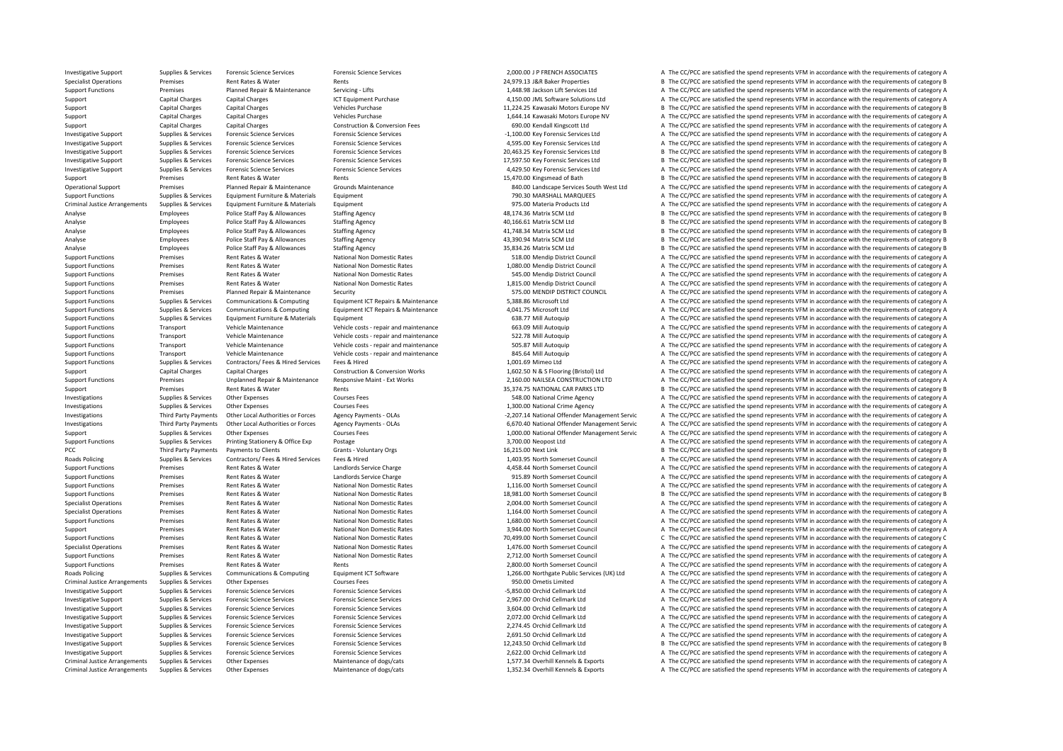Criminal JusticePCC Third Party Payments **Roads Policing** RoadsCriminal JusticeCriminal JusticeCriminal Justice

Investigative Support Support Support Supportes Forensic Science Services Forensic Science Services Forensic Science Services Forensic Science Services Forensic Science Services Forensic Science Services and The CODOLO IP Specialist Operations Premises Rent Rates & Water Rents Rents Rents Rents Rents Rents 24,979.13 J&R Baker Properties B The CC/PCC are satisfied the spend represents VFM in accordance with the requirements of category B Support Functions Premises Planned Repair & Maintenance Servicing – Lifts 1,448.98 Jackson Lift Services Ltd A The CC/PCC are satisfied the spend represents VFM in accordance with the requirements of category A Support Capital Charges Capital Charges Capital Charges A Capital Charges ICT Equipment Purchase 11.224.25 Kawasaki Motors Europe NV A The CC/PCC are satisfied the spend represents VFM in accordance with the requirements o Support Capital Charges Capital Charges Vehicles Purchase Vehicles Purchase 11,224.25 Kawasaki Motors Europe NV B The CC/PCC are satisfied the spend represents VFM in accordance with the requirements of category B Support Capital Charges Capital Charges Vehicles Purchase Vehicles Purchase 1,644.14 Kawasaki Motors Europe NV A The CC/PCC are satisfied the spend represents VFM in accordance with the requirements of category A Support Capital Charges Capital Charges Capital Charges Capital Charges Construction & Conversion Fees 690.00 Kendall Kingscott Ltd A The CC/PCC are satisfied the spend represents VFM in accordance with the requirements of Investigative Sunnort Sunnies & Services Forensic Science Services Forensic Science Services Forensic Science Services Forensic Science Services of the Services of the COPCC are satisfied the spend represents VEM in accord Investigative Support Support Support Support Support Support Support Support Support Support Support Support Support Support Support Support Support Support Support Support Support Support Support Support Support Support Investigative Support Supplies & Services Forensic Science Services Forensic Science Services Forensic Science Services Forensic Science Services Correct 20,463.25 Key Forensic Services Ltd B The CC/PCC are satisfied the s Investigative Support Supplies & Services Forensic Science Services Forensic Science Services Forensic Science Services Forensic Science Services and the services of the CC/PCC are satisfied the spend represents VFM in acc Investigative Sunnort Sunnies & Services Encepcic Science Services Encepcies Encepcies Encepcies Cristers Services Cristers Cristers Cristers Services and CAPA CONGER CAMELEA The CCIPCC are satisfied the spend represents V Support Premises Rent Rates & Water Rents Rents Rents Rents Rents Rents Rents Rents Rents Rents Rents Rents In a Comment of category B The CC/PCC are satisfied the spend represents VFM in accordance with the requirements o Operational Support Premises Planned Repair & Maintenance Grounds Maintenance Services County and Support and the Support Premises Planned Repair Premises Planned Repair Premises Planned Repair Premises A The CC/PCC are sa Support Functions Supplies & Services Equipment Furniture & Materials Equipment Functions Equipment 790.30 MARSHALL MARQUEES A The CC/PCC are satisfied the spend represents VFM in accordance with the requirements of catego Arrangements Supplies & Services Equipment Furniture & Materials Equipment 975.00 Materia Products Ltd A The CC/PCC are satisfied the spend represents VFM in accordance with the requirements of category A Analyse Employees Police Staff Pay & Allowances Staffing Agency 48,174.36 Matrix SCM Ltd B The CC/PCC are satisfied the spend represents VFM in accordance with the requirements of category B Analyse Employees Police Staff Pay & Allowances Staffing Agency and the State Pay and the State of the State Agency 10.166.61 Matrix SCM Ltd B The CC/PCC are satisfied the spend represents VFM in accordance with the requir Analyse Employees Police Staff Pay & Allowances Staffing Agency and the Stategory B The CC/PCC are satisfied the spend represents VFM in accordance with the requirements of category B Analyse Employees Police Staff Pay & Allowances Staffing Agency 43,390.94 Matrix SCM Ltd B The CC/PCC are satisfied the spend represents VFM in accordance with the requirements of category B Analyse Employees Police Staff Pay & Allowances Staffing Agency 35,834.26 Matrix SCM Ltd B The CC/PCC are satisfied the spend represents VFM in accordance with the requirements of category B Support Functions Premises Rent Rates & Water National Non Domestic Rates 518.00 Mendip District Council A The CC/PCC are satisfied the spend represents VFM in accordance with the requirements of category A Support Functions Premises Rent Rates & Water National Non Domestic Rates 1,080.00 Mendip District Council A The CC/PCC are satisfied the spend represents VFM in accordance with the requirements of category A Support Functions Premises Premises Rent Rates & Water National Non Domestic Rates Mater National Non Domestic Rates Council and the District Council Council A The CC/PCC are satisfied the spend represents VFM in accordanc Premises Rent Rates & Water National Non Domestic Rates 1,815.00 Mendip District Council A The CC/PCC are satisfied the spend represents VFM in accordance with the requirements of category A Support Functions Premises Planned Repair & Maintenance Security 575.00 MENDIP DISTRICT COUNCIL A The CC/PCC are satisfied the spend represents VFM in accordance with the requirements of category A Support Functions Supplies & Services Communications & Computing Equipment ICT Repairs & Maintenance 5.388.86 Microsoft Ltd 6.388.26 Microsoft Ltd A The CC/PCC are satisfied the spend represents VFM in accordance with the Support Functions Supplies & Services Communications & Computing Equipment ICT Repairs & Maintenance Maintenance 4,041.75 Microsoft Ltd a The CC/PCC are satisfied the spend represents VFM in accordance with the requirement A The CC/PCC are satisfied the spend represents VFM in accordance with the requirements of category A Support Functions Transport Vehicle Maintenance Vehicle costs - repair and maintenance Season Mill Autoquip A The CC/PCC are satisfied the spend represents VFM in accordance with the requirements of category A Support Functions Transport Vehicle Maintenance Vehicle costs - repair and maintenance S22.78 Mill Autoquip A The CC/PCC are satisfied the spend represents VFM in accordance with the requirements of category A The COV of t Support Functions Transport Vehicle Maintenance Vehicle costs - repair and maintenance Support Team of the COVEC are satisfied the spend represents VFM in accordance with the requirements of category A Vehicle Maintenance Transport Vehicle Maintenance Vehicle costs ‐ repair and maintenance 845.64 Mill Autoquip A The CC/PCC are satisfied the spend represents VFM in accordance with the requirements of category A Support Functions Supplies & Services Contractors/ Fees & Hired Services Fees & Hired Fees A The COLOGO Mimeo Ltd A The CC/PCC are satisfied the spend represents VFM in accordance with the requirements of category A The Co Support Capital Charges Capital Charges Capital Charges Construction & Conversion Works 1,602.50 N & S Flooring (Bristol) Ltd A The CC/PCC are satisfied the spend represents VFM in accordance with the requirements of categ Support Functions Premises Unplanned Repair & Maintenance Responsive Maint - Ext Works 2,160.00 NAILSEA CONSTRUCTION LTD A The CC/PCC are satisfied the spend represents VFM in accordance with the requirements of category A Support Premises Rent Rates & Water Rents Rents 35,374.75 NATIONAL CAR PARKS LTD B The CC/PCC are satisfied the spend represents VFM in accordance with the requirements of category B Investigations Supplies & Services Other Expenses Courses Fees Courses Fees 548.00 National Crime Agency A The CC/PCC are satisfied the spend represents VFM in accordance with the requirements of category A Investigations Supplies & Services Other Expenses Courses Fees 1,300.00 National Crime Agency A The CC/PCC are satisfied the spend represents VFM in accordance with the requirements of category A Investigations Third Party Payments Other Local Authorities or Forces Agency Payments - OLAs 2.207.14 National Offender Management Servic A The CC/PCC are satisfied the spend represents VFM in accordance with the requireme Investigations Third Party Payments Other Local Authorities or Forces Agency Payments - OLAs 6,670.40 National Offender Management Servic A The CC/PCC are satisfied the spend represents VFM in accordance with the requireme Supplies & Services Other Expenses Courses Fees Courses Courses Courses Courses Fees 1,000.00 National Offender Management Servic A The CC/PCC are satisfied the spend represents VFM in accordance with the requirements of c Support Functions Supplies & Services Printing Stationery & Office Exp Postage 2,700.00 Neopost Ltd A The CC/PCC are satisfied the spend represents VFM in accordance with the requirements of category A Payments to Clients Grants - Voluntary Orgs 600 16,215.00 Next Link B The CC/PCC are satisfied the spend represents VFM in accordance with the requirements of category B Poplies & Supplies & Services Contractors/ Fees & Hired Services Fees & Hired Services Fees & Hired 1,403.95 North Somerset Council A The CC/PCC are satisfied the spend represents VFM in accordance with the requirements of Support Functions Premises Rent Rates & Water Landlords Service Charge A The Council A The CC/PCC are satisfied the spend represents VFM in accordance with the requirements of category A Support Functions Premises Rent Rates & Water Landlords Service Charge 915.89 North Somerset Council A The CC/PCC are satisfied the spend represents VFM in accordance with the requirements of category A Support Functions Premises Rent Rates & Water National Non Domestic Rates 1,116.00 North Somerset Council A The CC/PCC are satisfied the spend represents VFM in accordance with the requirements of category A National New N Support Functions Premises Rent Rates Rent Rates National Non Domestic Rates 18,981.00 North Somerset Council B The CC/PCC are satisfied the spend represents VFM in accordance with the requirements of category B Specialist Operations Premises Rent Rates & Water National Non Domestic Rates 2,004.00 North Somerset Council A The CC/PCC are satisfied the spend represents VFM in accordance with the requirements of category A Specialist Operations Premises Rent Rates & Water National Non Domestic Rates 1,164.00 North Somerset Council A The CC/PCC are satisfied the spend represents VFM in accordance with the requirements of category A Support Functions Premises Rent Rates & Water National Non Domestic Rates 1,680.00 North Somerset Council A The CC/PCC are satisfied the spend represents VFM in accordance with the requirements of category A The Criteria a Support Premises Rent Rates & Water National Non Domestic Rates 3,944.00 North Somerset Council A The CC/PCC are satisfied the spend represents VFM in accordance with the requirements of category A Support Functions Premises Rent Rates & Water National Non Domestic Rates 70,499.00 North Somerset Council C The CC/PCC are satisfied the spend represents VFM in accordance with the requirements of category C Specialist Operations Premises Rent Rates & Water National Non Domestic Rates 1,476.00 North Somerset Council A The CC/PCC are satisfied the spend represents VFM in accordance with the requirements of category A The Creati Support Functions Premises Rent Rates & Water National Non Domestic Rates 2,712.00 North Somerset Council A The CC/PCC are satisfied the spend represents VFM in accordance with the requirements of category A The Crime of t Support Functions Premises Rent Rates Rents Rents Rents Rents Rents Rents 2,800.00 North Somerset Council A The CC/PCC are satisfied the spend represents VFM in accordance with the requirements of category A Supplies & Services Communications & Computing Equipment ICT Software 1,266.00 Northgate Public Services (UK) Ltd A The CC/PCC are satisfied the spend represents VFM in accordance with the requirements of category A Arrangements Supplies & Services Other Expenses Courses Fees Courses Fees 950.00 Ometis Limited 950.00 Ometis Limited A The CC/PCC are satisfied the spend represents VFM in accordance with the requirements of category A Th Investigative Support Supplies & Services Forensic Science Services Forensic Science Services Forensic Science Services Forensic Science Services Forensic Science Services Forensic Science Services Forensic Science Service Investigative Support Supplies & Services Forensic Science Services Forensic Science Services Forensic Science Services Forensic Science Services Forensic Science Services and The CC/PCC are satisfied the spend represents Investigative Support Supplies & Services Forensic Science Services Forensic Science Services Forensic Science Services Forensic Science Services and a The CC/PCC are satisfied the spend represents VFM in accordance with t Investigative Support Supplies & Services Forensic Science Services Forensic Science Services Forensic Science Services Forensic Science Services and the spend cellmark Ltd A The CC/PCC are satisfied the spend represents V Investigative Support Support Support Support Services Forensic Science Services Forensic Science Services Forensic Science Services Forensic Science Services Forensic Science Services Forensic Science Services Forensic Sc Investigative Support Supplies & Services Forensic Science Services Forensic Science Services Forensic Science Services Forensic Science Services Forensic Science Services and The CC/PCC are satisfied the spend represents Investigative Support Supplies & Services Forensic Science Services Forensic Science Services Forensic Science Services Forensic Science Services Forensic Science Services Forensic Science Services Forensic Science Service Investigative Support Supplies & Services Forensic Science Services Forensic Science Services Processic Services Processic Services 2,622.00 Orchid Cellmark Ltd A The CC/PCC are satisfied the spend represents VFM in accord Supplies & Services Other Expenses Maintenance of dogs/cats 1,577.34 Overhill Kennels & Exports A The CC/PCC are satisfied the spend represents VFM in accordance with the requirements of category A Supplies & Services Other Expenses Maintenance of dogs/cats 1,352.34 Overhill Kennels & Exports A The CC/PCC are satisfied the spend represents VFM in accordance with the requirements of category A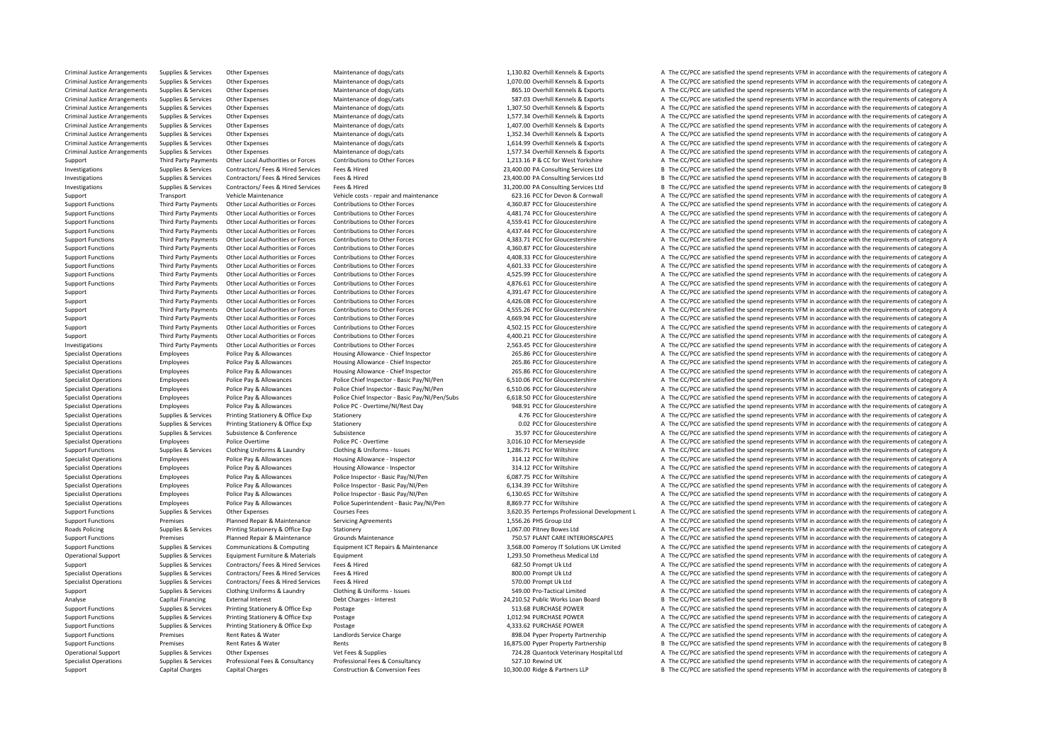Criminal JusticeCriminal JusticeCriminal JusticeCriminal JusticeCriminal JusticeCriminal JusticeCriminal JusticeCriminal JusticeCriminal JusticeCriminal Justice**Roads Policing** 

 Arrangements Supplies & Services Other Expenses Maintenance of dogs/cats 1,130.82 Overhill Kennels & Exports A The CC/PCC are satisfied the spend represents VFM in accordance with the requirements of category A Supplies & Services Other Expenses Maintenance of dogs/cats 1,070.00 Overhill Kennels & Exports A The CC/PCC are satisfied the spend represents VFM in accordance with the requirements of category A Arrive Supplies & Services Other Expenses Maintenance of dogs/cats and the service of the CONTIL Kennels & Exports A The CC/PCC are satisfied the spend represents VFM in accordance with the requirements of category A The C Arrangements Supplies & Services Other Expenses Other Expenses Maintenance of dogs/cats 587.03 Overhill Kennels & Exports A The CC/PCC are satisfied the spend represents VFM in accordance with the requirements of category Arrangements Supplies & Services Other Expenses Maintenance of dogs/cats 1,307.50 Overhill Kennels & Exports A The CC/PCC are satisfied the spend represents VFM in accordance with the requirements of category A Arrangements Supplies & Services Other Expenses Maintenance of dogs/cats 1,577.34 Overhill Kennels & Exports A The CC/PCC are satisfied the spend represents VFM in accordance with the requirements of category A Arrangements Supplies & Services Other Expenses Maintenance of dogs/cats 1,407.00 Overhill Kennels & Exports A The CC/PCC are satisfied the spend represents VFM in accordance with the requirements of category A Arrangements Supplies & Services Other Expenses Maintenance of dogs/cats 1,352.34 Overhill Kennels & Exports A The CC/PCC are satisfied the spend represents VFM in accordance with the requirements of category A Arrangements Supplies & Services Other Expenses Maintenance of dogs/cats 1,614.99 Overhill Kennels & Exports A The CC/PCC are satisfied the spend represents VFM in accordance with the requirements of category A Arrangements Supplies & Services Other Expenses Maintenance of dogs/cats 1,577.34 Overhill Kennels & Exports A The CC/PCC are satisfied the spend represents VFM in accordance with the requirements of category A Third Party Payments Other Local Authorities or Forces Contributions to Other Forces Forces Contributions to Other Forces and the Subsection of the Subsection of the CO/PCC are satisfied the spend represents VFM in accorda Investigations Supplies Services Contractors/ Fees & Hired Fees & Hired Services Fees & Hired 23,400.00 PA Consulting Services Ltd B The CC/PCC are satisfied the spend represents VFM in accordance with the requirements of Investigations Supplies & Services Contractors/ Fees & Hired Services Fees & Hired 23,400.00 PA Consulting Services Ltd B The CC/PCC are satisfied the spend represents VFM in accordance with the requirements of category B Investigations Supplies & Services Contractors/ Fees & Hired Services Fees & Hired 31,200.00 PA Consulting Services Ltd B The CC/PCC are satisfied the spend represents VFM in accordance with the requirements of category B Support Transport Vehicle Maintenance Vehicle costs ‐ repair and maintenance S23.16 PCC for Devon & Cornwall A The CC/PCC are satisfied the spend represents VFM in accordance with the requirements of category A Support Functions Third Party Payments Other Local Authorities or Forces Contributions to Other Forces contributions to Other Forces and the CONSTANDER A 360.87 PCC for Gloucestershire A The CC/PCC are satisfied the spend Support Functions Third Party Payments Other Local Authorities or Forces Contributions to Other Forces contributions of Other Forces and the CONSTANT A SUPPOSED CONFORMER A The CC/PCC are satisfied the spend represents VFM Support Functions Third Party Payments Other Local Authorities or Forces Contributions to Other Forces contributions to Other Forces and the Season of the COPCC are satisfied the spend represents VFM in accordance with the Support Functions Third Party Payments Other Local Authorities or Forces Contributions to Other Forces contributions of Other Forces and the CONSERVITHER A 337.44 PCC for Gloucestershire A The CC/PCC are satisfied the soen Support Functions Third Party Payments Other Local Authorities or Forces Contributions to Other Forces contributions to Other Forces and the CONSCOTT A 383.71 PCC for Gloucestershire A The CC/PCC are satisfied the spend re Support Functions Third Party Payments Other Local Authorities or Forces Contributions to Other Forces of the Contributions to Other Forces 4360.87 PCC for Gloucestershire A The CC/PCC are satisfied the spend represents VE Support Functions Third Party Payments Other Local Authorities or Forces Contributions to Other Forces contributions to Other Forces and a 408.33 PCC for Gloucestershire A The CC/PCC are satisfied the spend represents VFM Support Functions Third Party Payments Other Local Authorities or Forces Contributions to Other Forces contributions of Other Forces and the COLLEC 4.601.33 PCC for Gloucestershire A The CC/PCC are satisfied the spend repr Support Functions Third Party Payments Other Local Authorities or Forces Contributions to Other Forces Contributions to Other Forces and the Support Contents of Contributions and the Support Contents are a media and the CO A The CC/PCC are satisfied the spend represents VFM in accordance with the requirements of category A Third Party Payments Other Local Authorities or Encres Contributions to Other Encres and and act of Contribution of the Care of the Contributions to Other Encres and and and a serve and the COPC are satisfied the spend rep Third Party Payments Other Local Authorities or Forces Contributions to Other Forces contributions of Other Forces and the CONSERVITHE A The CC/PCC are satisfied the spend represents VFM in accordance with the requirements Third Party Payments Other Local Authorities or Forces Contributions to Other Forces and the Support and the CONCC are satisfied the spend represents VFM in accordance with the requirements of category A Support<br>Third Part Third Party Payments Other Local Authorities or Forces Contributions to Other Forces Contributions Company Content Forces and the CONSULT A SECTION A The CC/PCC are satisfied the spend represents VFM in accordance with the Third Party Payments Other Local Authorities or Forces Contributions to Other Forces Contributions Company Conter Forces and the SULLE ASO2.15 PCC for Gloucestershire A The CC/PCC are satisfied the spend represents VFM in Third Party Payments Other Local Authorities or Forces Contributions to Other Forces contributions of Other Forces and the COLOGO 4.400.21 PCC for Gloucestershire A The CC/PCC are satisfied the spend represents VFM in acco Investigations Third Party Payments Other Local Authorities or Forces Contributions to Other Forces Contributions to Other Forces and the Space of Contributions to Chefferical Association and the CONCLOC are satisfied the Employees Police Pay & Allowances Housing Allowance - Chief Inspector 265.86 PCC for Gloucestershire A The CC/PCC are satisfied the spend represents VFM in accordance with the requirements of category A Specialist Operations Employees Police Pay & Allowances Housing Allowance - Chief Inspector 265.86 PCC for Gloucestershire A The CC/PCC are satisfied the spend represents VFM in accordance with the requirements of category Specialist Operations Employees Police Pay & Allowances Housing Allowance - Chief Inspector 265.86 PCC for Gloucestershire A The CC/PCC are satisfied the spend represents VFM in accordance with the requirements of category Specialist Operations Employees Police Pay & Allowances Police Chief Inspector - Basic Pay/NI/Pen 6,510.06 PCC for Gloucestershire A The CC/PCC are satisfied the spend represents VFM in accordance with the requirements of Specialist Operations Complete Employees Police Pay & Allowances Police Chief Inspection Chief Inspection - Basic Pay/NI/Pen 6510.06 PCC for Gloucestershire A The CC/PCC are satisfied the spend represents VEM in accordance Specialist Operations Employees Police Pay & Allowances Police Chief Inspector - Basic Pay/NI/Pen/Subs 6,618.50 PCC for Gloucestershire A The CC/PCC are satisfied the spend represents VFM in accordance with the requirement Specialist Operations Employees Police Pay & Allowances Police PC - Overtime/NI/Rest Day 948.91 PCC for Gloucestershire A The CC/PCC are satisfied the spend represents VFM in accordance with the requirements of category A Specialist Operations Supplies & Services Printing Stationery & Office Exp Stationery 4.76 PCC for Gloucestershire A The CC/PCC are satisfied the spend represents VFM in accordance with the requirements of category A The C Specialist Operations Supplies & Services Printing Stationery & Office Exp Stationery Supplies and Stationery a Stationery a Stationery a Stationery a Stationery a COVEC are Gloucestershire A The CC/PCC are satisfied the s Specialist Operations Supplies & Services Subsistence Subsistence Subsistence Subsistence Subsistence Subsistence Subsistence Subsistence Subsistence Subsistence Subsistence Subsistence Subsistence Subsistence and the CC/P Franchvees Police Overtime Police PC – Overtime 3,016.10 PCC for Merseyside A The CC/PCC are satisfied the spend represents VFM in accordance with the requirements of category A Support Functions Supplies & Services Clothing Uniforms & Laundry Clothing & Uniforms - Issues 1,286.71 PCC for Wiltshire A The CC/PCC are satisfied the spend represents VFM in accordance with the requirements of category Specialist Operations Employees Police Pay & Allowances Housing Allowance - Inspector 314.12 PCC for Wiltshire A The CC/PCC are satisfied the spend represents VFM in accordance with the requirements of category A The Crite Employees Police Pay & Allowances Housing Allowance - Inspector 314.12 PCC for Wiltshire A The CC/PCC are satisfied the spend represents VFM in accordance with the requirements of category A Specialist Operations Employees Police Pay & Allowances Police Inspector - Basic Pay/NI/Pen 6,087.75 PCC for Wiltshire A The CC/PCC are satisfied the spend represents VFM in accordance with the requirements of category A Specialist Operations Employees Police Pay & Allowances Police Inspector - Basic Pay/NI/Pen 6,134.39 PCC for Wiltshire A The CC/PCC are satisfied the spend represents VFM in accordance with the requirements of category A Specialist Operations Employees Police Pay & Allowances Police Inspector – Basic Pay/NI/Pen 6,130.65 PCC for Wiltshire A The CC/PCC are satisfied the spend represents VFM in accordance with the requirements of category A Specialist Operations Employees Police Pay & Allowances Police Superintendent - Basic Pay/NI/Pen 8,869.77 PCC for Wiltshire A The CC/PCC are satisfied the spend represents VFM in accordance with the requirements of categor Support Functions Supplies & Services Other Expenses Courses Fees 200168 Courses Fees 3,620.35 Pertemps Professional Development L A The CC/PCC are satisfied the spend represents VFM in accordance with the requirements of Support Functions Premises Planned Repair & Maintenance Servicing Agreements 1,556.26 PHS Group Ltd A The CC/PCC are satisfied the spend represents VFM in accordance with the requirements of category A Policing Supplies & Services Printing Stationery & Office Exp Stationery 1,067.00 Pitney Bowes Ltd A The CC/PCC are satisfied the spend represents VFM in accordance with the requirements of category A Support Functions Premises Planned Repair & Maintenance Grounds Maintenance Crounds Maintenance 750.57 PLANT CARE INTERIORSCAPES A The CC/PCC are satisfied the spend represents VFM in accordance with the requirements of ca Support Functions Supplies & Services Communications & Computing Equipment ICT Repairs & Maintenance 3,568.00 Pomeroy IT Solutions UK Limited A The CC/PCC are satisfied the spend represents VFM in accordance with the requi Operational Support Supplies & Services Equipment Furniture & Materials Equipment Equipment 1,293.50 Prometheus Medical Ltd A The CC/PCC are satisfied the spend represents VFM in accordance with the requirements of categor Support Supplies & Services Contractors/ Fees & Hired Services Fees & Hired A The CC/PC are satisfied the spend represents VFM in accordance with the requirements of category A Specialist Operations Supplies & Services Contractors/ Fees & Hired Services Fees & Hired Services Fees & Hired 800.00 Prompt Uk Ltd A The CC/PCC are satisfied the spend represents VFM in accordance with the requirements o Specialist Operations Supplies & Services Contractors/ Fees & Hired Services Fees & Hired Services Fees & Hired Services Fees & Hired Services Fees & Hired Stategory A The CC/PCC are satisfied the spend represents VFM in a Support Supplies & Services Clothing Uniforms & Laundry Clothing & Uniforms ‐ Issues 549.00 Pro‐Tactical Limited A The CC/PCC are satisfied the spend represents VFM in accordance with the requirements of category A Analyse Capital Financing External Interest Debt Charges - Interest Debt Charges - Interest 24,210.52 Public Works Loan Board B The CC/PCC are satisfied the spend represents VFM in accordance with the requirements of categ Support Functions Supplies & Services Printing Stationery & Office Exp Postage 513.68 PURCHASE POWER 513.68 PURCHASE POWER A The CC/PCC are satisfied the spend represents VFM in accordance with the requirements of category Support Functions Supplies & Services Printing Stationery & Office Exp Postage Printing Stationery & Office Exp Postage 1,012.94 PURCHASE POWER 1,012.94 PURCHASE POWER A The CC/PCC are satisfied the spend represents VFM in Support Functions Supplies & Services Printing Stationery & Office Exp Postage Material Principal and the service of the Stationery A The CC/PCC are satisfied the spend represents VFM in accordance with the requirements of Support Functions Premises Rent Rates & Water Landlords Service Charge 898.04 Pyper Property Partnership A The CC/PCC are satisfied the spend represents VFM in accordance with the requirements of category A Support Functions Premises Rent Rates & Water Rents 16,875.00 Pyper Property Partnership B The CC/PCC are satisfied the spend represents VFM in accordance with the requirements of category B Operational Support Supplies & Services Other Expenses Vet Fees & Supplies Vet Fees & Supplies 724.28 Quantock Veterinary Hospital Ltd A The CC/PCC are satisfied the spend represents VFM in accordance with the requirements Specialist Operations Supplies & Services Professional Fees & Consultancy Professional Fees & Consultancy Specialist A The CC/PCC are satisfied the spend represents VFM in accordance with the requirements of category A Support Capital Charges Capital Charges Construction & Conversion Fees 10,300.00 Ridge & Partners LLP B The CC/PCC are satisfied the spend represents VFM in accordance with the requirements of category B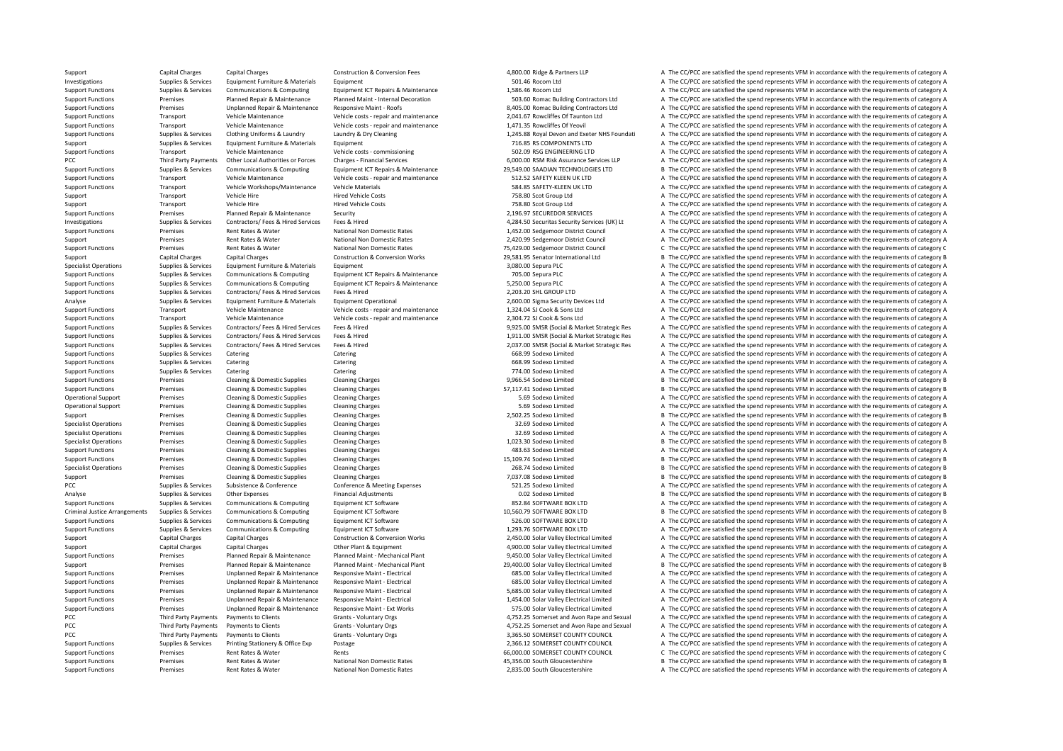PCC Third Party Payments Criminal JusticePCC Third Party Payments PCC Third Party Payments

PCC Third Party Payments Payments to Clients

Support Capital Charges Capital Charges Construction & Conversion Fees 4,800.00 Ridge & Partners LLP A The CC/PCC are satisfied the spend represents VFM in accordance with the requirements of category A Investigations Supplies & Services Equipment Furniture & Materials Equipment = 501.46 Rocom Ltd 501.46 Rocom Ltd A The CC/PCC are satisfied the spend represents VFM in accordance with the requirements of category A Support Functions Supplies & Services Communications & Computing Equipment ICT Repairs & Maintenance Equipment ICT Repairs & Maintenance 1,586.46 Rocom Ltd A The CC/PCC are satisfied the spend represents VFM in accordance of the contract of the property of the parameter of the Planned Repair & Maintenance Planned Maint - Internal Decoration 503.60 Romac Building Contractors Ltd A The CC/PCC are satisfied the spend represents VFM in accordan Premises Unplanned Repair & Maintenance Responsive Maint ‐ Roofs 8,405.00 Romac Building Contractors Ltd A The CC/PCC are satisfied the spend represents VFM in accordance with the requirements of category A Support Functions Transport Vehicle Maintenance Vehicle costs ‐ repair and maintenance 2,041.67 Rowcliffes Of Taunton Ltd A The CC/PCC are satisfied the spend represents VFM in accordance with the requirements of category Support Functions Transport Vehicle Maintenance Vehicle costs - repair and maintenance Vehicle costs - repair and maintenance Vehicle costs - repair and maintenance 1,471.35 Rowcliffes Of Yeovil A The CC/PCC are satisfied Suppliers & Services Clothing Uniforms & Laundry Laundry Barcades Containg March 2017 1245.88 Royal Devon and Exeric NHS Foundati A The CC/PCC are satisfied the spend represents VEM in accordance with the requirements of c Support Support Supporters Services Equipment Furniture & Materials Equipment Furniture & Materials Equipment 716.85 RS COMPONENTS LTD A The CC/PCC are satisfied the spend represents VFM in accordance with the requirements Support Functions Transport Vehicle Maintenance Vehicle costs – commissioning 502.09 RSG ENGINEERING LTD A The CC/PCC are satisfied the spend represents VFM in accordance with the requirements of category A Party Payments Other Local Authorities or Forces Charges ‐ Financial Services 6,000.00 RSM Risk Assurance Services LLP A The CC/PCC are satisfied the spend represents VFM in accordance with the requirements of category A T Sunnort Eunctions Sunnline & Services Communications & Communications & Communications & Communications & Communications & Communications Foujinment ICT Renaiss & Maintenance 29 549 00 SAADIAN TECHNOLOGIES ITD R The CC/PCC Support Functions Transport Vehicle Maintenance Vehicle costs ‐ repair and maintenance Vehicle costs ‐ repair and maintenance S12.52 SAFETY KLEEN UK LTD A The CC/PCC are satisfied the spend represents VFM in accordance wit Support Functions Transport Vehicle Workshops/Maintenance Vehicle Materials 584.85 SAFETY‐KLEEN UK LTD A The CC/PCC are satisfied the spend represents VFM in accordance with the requirements of category A Support Transport Vehicle Hire Metal Hired Vehicle Costs 758.80 Scot Group Ltd A The CC/PCC are satisfied the spend represents VFM in accordance with the requirements of category A Support Transport Vehicle Hire Mercy Hired Vehicle Costs Transport A The CC/PCC are satisfied the spend represents VFM in accordance with the requirements of category A Support Functions Premises Planned Repair & Maintenance Security 2,196.97 SECUREDOR SERVICES A The CC/PCC are satisfied the spend represents VFM in accordance with the requirements of category A Supplies & Services Contractors/Fees & Hired Services Fees & Hired Services Fees & Hired Services Fees & Hired Services Fees & Hired on Mational Non Domestic Rates Contractors/Fees & Hired Services Fees & Hired on Mational Premises Rent Rates & Water Mational Non Domestic Rates 1,452.00 Sedgemoor District Council A The CC/PCC are satisfied the spend represents VFM in accordance with the requirements of category A Support Premises Rent Rates & Water National Non Domestic Rates 2,420.99 Sedgemoor District Council A The CC/PCC are satisfied the spend represents VFM in accordance with the requirements of category A Support Functions Premises Rent Rates & Water National Non Domestic Rates 75,429.00 Sedgemoor District Council C The CC/PCC are satisfied the spend represents VFM in accordance with the requirements of category C Support Capital Charges Capital Charges Construction & Conversion Works 29,581.95 Senator International Ltd B The CC/PCC are satisfied the spend represents VFM in accordance with the requirements of category B Specialist Operations Supplies & Services Equipment Furniture & Materials Equipment and the secure and the secure and the CC/PCC are satisfied the spend represents VFM in accordance with the requirements of category A Support Functions Supplies & Services Communications & Computing Equipment ICT Repairs & Maintenance 705.00 Sepura PLC 705.00 Sepura PLC A The CC/PCC are satisfied the spend represents VFM in accordance with the requiremen A The CC/PCC are satisfied the spend represents VFM in accordance with the requirements of category A Support Functions Support Support Contractors/ Fees & Hired Fees & Hired Services Fees & Hired 2,203.20 SHL GROUP LTD A The CC/PCC are satisfied the spend represents VFM in accordance with the requirements of category A Analyse Supplies & Services Equipment Furniture & Materials Equipment Operational 2,600.00 Sigma Security Devices Ltd A The CC/PCC are satisfied the spend represents VFM in accordance with the requirements of category A Support Functions Transport Vehicle Maintenance Vehicle costs - repair and maintenance Vehicle costs - repair and maintenance Vehicle costs - repair and maintenance 1,324.04 SJ Cook & Sons Ltd A The CC/PCC are satisfied th A The CC/PCC are satisfied the spend represents VFM in accordance with the requirements of category A Support Functions Supplies & Services Contractors/ Fees & Hired Services Fees & Hired Services Fees & Hired Services Fees & Hired Services Fees & Hired Services Fees & Hired Services Fees & Hired Services Fees & Hired Serv Support Functions Supplies & Services Contractors/ Fees & Hired Services Fees & Hired Services Fees & Hired Services Fees & Hired Services Fees & Hired Services Fees & Hired Services Pees & Hired Services Pees & Hired Serv Support Functions Supplies & Services Contractors/ Fees & Hired Services Fees & Hired Fired Contractors/ Fees & Hired Services Fees & Hired Services Fees & Hired Contractors Fees & Hired Support Fees and David A The CC/PCC A The CC/PCC are satisfied the spend represents VFM in accordance with the requirements of category A Support Functions Supplies & Services Catering Catering Catering Catering Catering Catering Catering Catering Catering Catering Catering Catering and the Support Functions of category A The CC/PCC are satisfied the spend r Support Functions Supplies & Services Catering Catering Catering Catering Catering Catering Category A The CC/PCC are satisfied the spend represents VFM in accordance with the requirements of category A Support Functions Premises Cleaning & Domestic Supplies Cleaning Charges Cleaning Charges Cleaning Charges examples 9,966.54 Sodexo Limited B The CC/PCC are satisfied the spend represents VFM in accordance with the require Support Functions Premises Cleaning & Domestic Supplies Cleaning Charges Cleaning Charges Cleaning Charges Cleaning Charges Cleaning Charges Cleaning Charges ST.117.41 Sodexo Limited B The CC/PCC are satisfied the spend re Operational Support Premises Cleaning & Domestic Supplies Cleaning Charges Cleaning Charges Cleaning Charges Cleaning Charges Cleaning Charges Cleaning Charges Cleaning Charges Cleaning Charges S.59 Sodexo Limited A The CC Operational Support Premises Cleaning & Domestic Supplies Cleaning Charges Cleaning Charges Cleaning Charges Cleaning Charges Cleaning Charges Cleaning Charges Cleaning Charges Cleaning Charges Cleaning Charges Cleaning Ch Support Premises Cleaning & Domestic Supplies Cleaning Charges Cleaning Charges 2,502.25 Sodexo Limited B The CC/PCC are satisfied the spend represents VFM in accordance with the requirements of category B Specialist Operations Specialist Operations Premises Cleaning & Cleaning Cleaning Charges Cleaning Charges Cleaning Charges Cleaning Charges Cleaning Charges Cleaning Charges Cleaning Charges Cleaning Charges Cleaning Char Specialist Operations Premises Cleaning & Domestic Supplies Cleaning Charges Cleaning Charges Cleaning Charges Cleaning Charges 32.69 Sodexo Limited A The CC/PCC are satisfied the spend represents VFM in accordance with th Premises Cleaning & Domestic Supplies Cleaning Charges 1,023.30 Sodexo Limited B The CC/PCC are satisfied the spend represents VFM in accordance with the requirements of category B Support Functions Premises Cleaning & Domestic Supplies Cleaning Charges Cleaning Charges 483.63 Sodexo Limited A The CC/PCC are satisfied the spend represents VFM in accordance with the requirements of category A Support Functions Premises Cleaning & Domestic Supplies Cleaning Charges Cleaning Charges Cleaning Charges 15,109.74 Sodexo Limited B The CC/PCC are satisfied the spend represents VFM in accordance with the requirements of Premises Cleaning & Domestic Supplies Cleaning Charges 268.74 Sodexo Limited 268.74 Sodexo Limited B The CC/PCC are satisfied the spend represents VFM in accordance with the requirements of category B Support Premises Cleaning & Domestic Supplies Cleaning Charges Cleaning Charges 7,037.08 Sodexo Limited B The CC/PCC are satisfied the spend represents VFM in accordance with the requirements of category B PCC Subplies & Services Subsistence & Conference Conference & Meeting Expenses 521.25 Sodexo Limited A The CC/PCC are satisfied the spend represents VFM in accordance with the requirements of category A The Conference Conf Supplies Services Other Expenses Financial Adjustments and the Services Constant B The CC/PCC are satisfied the spend represents VFM in accordance with the requirements of category B Support Functions Supplies & Services Communications & Computing Equipment ICT Software 862.84 SOFTWARE BOX LTD A The CC/PCC are satisfied the spend represents VFM in accordance with the requirements of category A Supplies & Services Communications & Computing Equipment ICT Software 10,560.79 SOFTWARE BOX LTD B The CC/PCC are satisfied the spend represents VFM in accordance with the requirements of category B Support Functions Supplies & Services Communications & Computing Equipment ICT Software 526.00 SOFTWARE BOX LTD A The CC/PCC are satisfied the spend represents VFM in accordance with the requirements of category A The Crip Support Functions Supplies & Services Communications & Computing Foujoment ICT Software 1,293.76 SOFTWARE BOX LTD A The CC/PCC are satisfied the spend represents VFM in accordance with the requirements of category A Support Capital Charges Capital Charges Construction & Conversion Works 2,450.00 Solar Valley Electrical Limited A The CC/PCC are satisfied the spend represents VFM in accordance with the requirements of category A Support Capital Charges Capital Charges Capital Charges Capital Charges Other Plant & Equipment A The CONCLUGAL CONCLUGAL A The CC/PCC are satisfied the spend represents VFM in accordance with the requirements of category Support Functions Premises Planned Repair & Maintenance Planned Maint - Mechanical Plant<br>Support Europe Planned Repair & Maintenance Planned Maint - Mechanical Plant<br>Support Branch Branch Planned Repair Planned Maint - Mec Support Premises Planned Repair & Maintenance Planned Maint Mechanical Plant 29,400.00 Solar Valley Electrical Limited B The CC/PCC are satisfied the spend represents VFM in accordance with the requirements of category B Support Functions Premises Unplanned Repair & Maintenance Responsive Maint - Electrical and the ESSO.00 Solar Valley Electrical Limited A The CC/PCC are satisfied the spend represents VFM in accordance with the requirement Support Functions Premises Unplanned Repair & Maintenance Responsive Maint - Electrical Support Responsive Maint - Electrical Cases and Develocitical Limited A The CC/PCC are satisfied the spend represents VFM in accordanc Support Functions Premises Unplanned Repair & Maintenance Responsive Maint - Flectrical S.685.00 Solar Valley Flectrical imited A The CC/PCC are satisfied the spend represents VEM in accordance with the requirements of cat Support Functions Premises Unplanned Repair & Maintenance Responsive Maint - Electrical Alta Lets and the CASO Solar Valley Electrical Limited A The CC/PCC are satisfied the spend represents VFM in accordance with the requ Premises Unplanned Repair & Maintenance Responsive Maint - Ext Works 575.00 Solar Valley Electrical Limited A The CC/PCC are satisfied the spend represents VFM in accordance with the requirements of category A The Creation Payments to Clients Grants - Voluntary Orgs 6. The Crants Crants Cranks A The CC/PCC are satisfied the spend represents VFM in accordance with the requirements of category A Payments to Clients Crants Voluntary Orgs entity Payments of category A The CC/PCC are satisfied the spend represents VFM in accordance with the requirements of category A Grants - Voluntary Orgs **3.365.50 SOMERSET COUNTY COUNCIL** A The CC/PCC are satisfied the spend represents VFM in accordance with the requirements of category A Support Functions Supplies & Services Printing Stationery & Office Exp Postage 2,366.12 SOMERSET COUNTY COUNCIL A The CC/PCC are satisfied the spend represents VFM in accordance with the requirements of category A Support Support Functions Premises Rent Rates & Water Rents Rents Rents Rents Rents Rents Rents Rent Rent Rents Rents Rent Rents Rents Rent Rents Rents Rent Rents Rent Rent Rent Rents Rents Rents Rents Rents Rents Rent Rents Rent Support Functions Premises Rent Rates & Water National Non Domestic Rates 45,356.00 South Gloucestershire B The CC/PCC are satisfied the spend represents VFM in accordance with the requirements of category B Support Functions Premises Rent Rates & Water National Non Domestic Rates 2,835.00 South Gloucestershire A The CC/PCC are satisfied the spend represents VFM in accordance with the requirements of category A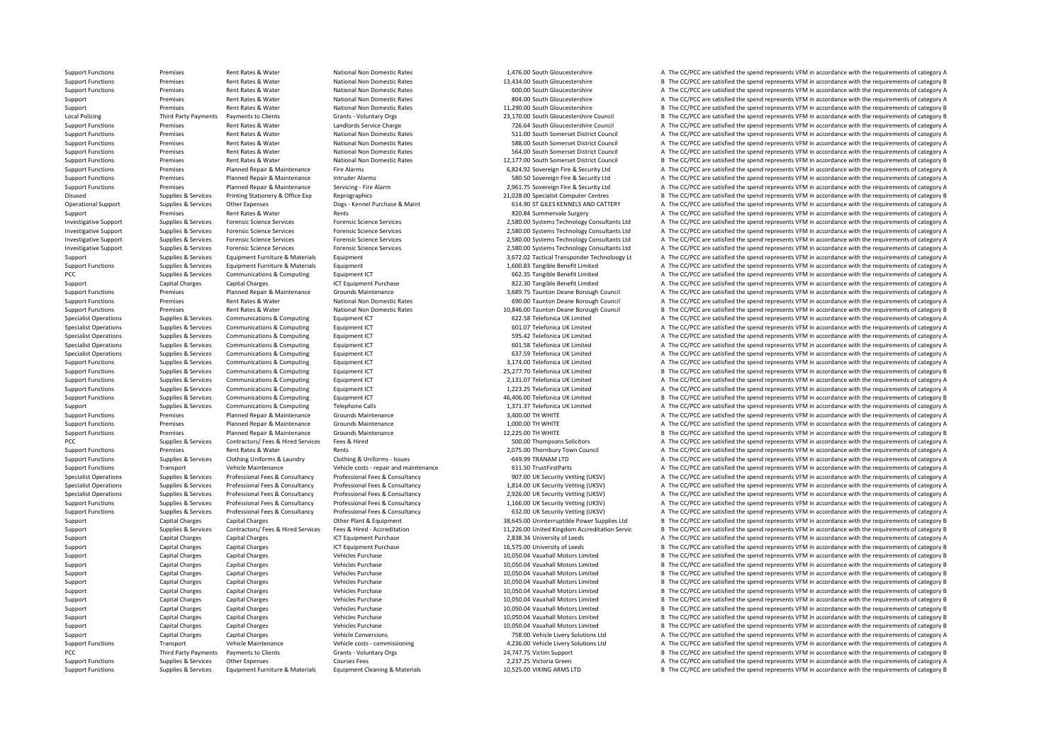**Local Policing** PCC Third Party Payments

Support Functions Premises Rent Rates & Water National Non Domestic Rates 1,476.00 South Gloucestershire A The CC/PCC are satisfied the spend represents VFM in accordance with the requirements of category A Support Functions Premises Rent Rates & Water National Non Domestic Rates 13,434.00 South Gloucestershire B The CC/PCC are satisfied the spend represents VFM in accordance with the requirements of category B Support Functions Premises Rent Rates & Water National Non Domestic Rates 600.00 South Gloucestershire A The CC/PCC are satisfied the spend represents VFM in accordance with the requirements of category A Support Premises Rent Rates & Water Mational Non Domestic Rates and the Support Rates Rent Rates Rent Rates Rent Rates Rent Rates Rent Rates Rent Rates Rent Rates Rent Rates Rent Rates and National Non Domestic Rates and t Support Premises Rent Rates & Water National Non Domestic Rates 11,290.00 South Gloucestershire B The CC/PCC are satisfied the spend represents VFM in accordance with the requirements of category B Policing Third Party Payments to Clients Crants Crants - Voluntary Orgs 23,170.00 South Gloucestershire Council B The CC/PCC are satisfied the spend represents VFM in accordance with the requirements of category B Support Functions Premises Rent Rates & Water Landlords Service Charge 1998 and a The CONCE are satisfied the spend represents VFM in accordance with the requirements of category A Support Functions Premises Rent Rates & Water National Non Domestic Rates 511.00 South Somerset District Council A The CC/PCC are satisfied the spend represents VFM in accordance with the requirements of category A Support Functions Premises Rent Rates & Water National Non Domestic Rates Same Same Same Same Same Search Council A The CC/PCC are satisfied the spend represents VFM in accordance with the requirements of category A Support Functions Premises Rent Rates & Water National Non Domestic Rates 564.00 South Somerset District Council A The CC/PCC are satisfied the spend represents VFM in accordance with the requirements of category A Support Functions Premises Rent Rates & Water National Non Domestic Rates 12,177.00 South Somerset District Council B The CC/PCC are satisfied the spend represents VFM in accordance with the requirements of category B Support Functions Premises Planned Repair & Maintenance Fire Alarms 6,824.92 Sovereign Fire & Security Ltd A The CC/PCC are satisfied the spend represents VFM in accordance with the requirements of category A Support Functions Premises Planned Repair & Maintenance Intruder Alarms 580.50 Sovereign Fire & Security Ltd A The CC/PCC are satisfied the spend represents VFM in accordance with the requirements of category A Support Functions Premises Planned Repair & Maintenance Servicing - Fire Alarm 2,961.75 Sovereign Fire & Security Ltd A The CC/PCC are satisfied the spend represents VFM in accordance with the requirements of category A Disused Supplies & Services Printing Stationery & Office Exp Reprographics Reprographics 21,028.00 Specialist Computer Centres B The CC/PCC are satisfied the spend represents VFM in accordance with the requirements of cate Operational Support Supplies & Services Other Expenses Dogs - Kennel Purchase & Maint 614.90 ST GILES KENNELS AND CATTERY A The CC/PCC are satisfied the spend represents VFM in accordance with the requirements of category Support Premises Rent Rates & Water Rents Rents Rents But a Rents 820.84 Summervale Surgery A The CC/PCC are satisfied the spend represents VFM in accordance with the requirements of category A Investigative Support Supplies & Services Forensic Science Services Forensic Science Services Forensic Science Services Forensic Science Services Forensic Science Services Forensic Science Services Forensic Science Service Investigative Support Support Support Support Support Support Forensic Science Services Forensic Science Services Forensic Science Services Forensic Science Services Forensic Science Services Forensic Science Services and Investigative Support Supplies & Services Forensic Science Services Forensic Science Services Forensic Science Services Forensic Science Services Forensic Science Services Forensic Science Services and a The CC/PCC are sat Investigative Support Support Support Support Support Support Support Support Support Support Support Support Support Support Support Support Support Support Support Support Support Support Support Support Support Support Support Supplies & Services Foulyment Furniture & Materials Foulyment 3,672.02 Tactical Transponder Technoloogy Lt A The CC/PCC are satisfied the spend represents VFM in accordance with the requirements of category A Support Functions Supplies & Services Equipment Furniture & Materials Equipment 1,600.83 Tangible Benefit Limited A The CC/PCC are satisfied the spend represents VFM in accordance with the requirements of category A PCC PCC are satisfied the spend represents VFM in accordance with the requirements of category A The CC/PCC are satisfied the spend represents VFM in accordance with the requirements of category A Support Category A The CC Support Capital Charges Capital Charges Capital Charges ICT Equipment Purchase **822.30** Tangible Benefit Limited A The CC/PCC are satisfied the spend represents VFM in accordance with the requirements of category A Support Functions Premises Planned Repair & Maintenance Grounds Maintenance 3,689.75 Taunton Deane Borough Council A The CC/PCC are satisfied the spend represents VFM in accordance with the requirements of category A Support Functions Premises Rent Rates & Water National Non Domestic Rates 690.00 Taunton Deane Borough Council A The CC/PCC are satisfied the spend represents VFM in accordance with the requirements of category A Support Functions Premises Rent Rates & Water National Non Domestic Rates 10,846.00 Taunton Deane Borough Council B The CC/PCC are satisfied the spend represents VFM in accordance with the requirements of category B Specia Specialist Operations Supplies & Services Communications & Computing Equipment ICT 622.58 Telefonica UK Limited A The CC/PCC are satisfied the spend represents VFM in accordance with the requirements of category A Specialist Operations Supplies & Services Communications & Computing Equipment ICT 601.07 Telefonica UK Limited A The CC/PCC are satisfied the spend represents VFM in accordance with the requirements of category A Specialist Operations Supplies & Services Communications & Computing Equipment ICT 595.42 Telefonica UK Limited A The CC/PCC are satisfied the spend represents VFM in accordance with the requirements of category A Specialist Operations Supplies & Services Communications & Computing Equipment ICT examples and the spendia and the CC/PC are satisfied the spend represents VFM in accordance with the requirements of category A The CC/PC a Specialist Operations Supplies A The CC/PCC are satisfied the spend represents VFM in accordance with the requirements of category A Support Functions Supplies & Services Communications & Computing Equipment ICT 3,174.00 Telefonica UK Limited A The CC/PCC are satisfied the spend represents VFM in accordance with the requirements of category A Support IC Support Functions Supplies & Services Communications & Computing Foujonnent ICT 25,277.70 Telefonica UK Limited B The CC/PCC are satisfied the spend represents VFM in accordance with the requirements of category B Support Functions Supplies & Services Communications & Computing Equipment ICT 2,131.07 Telefonica UK Limited A The CC/PCC are satisfied the spend represents VFM in accordance with the requirements of category A The Comput Support Functions Supplies Services Communications & Computing Foundances Computing Functions and the COMPUT 1,223.25 Telefonica UK Limited A The CC/PCC are satisfied the spend represents VFM in accordance with the require Support Functions Supplies & Services Communications & Computing Equipment ICT and the service of the COMPUTING COMPUTING THE COMPUTING COMPUTING A The COMPUTING A The COMPUTING COMPUTING COMPUTING THE SUPPORT OF COMPUTING Support Support Communications & Computing Telephone Calls 1,371.37 Telefonica UK Limited A The CC/PCC are satisfied the spend represents VFM in accordance with the requirements of category A Support Functions Premises Planned Repair & Maintenance Grounds Maintenance Server and the second and the CC/PCC are satisfied the spend represents VFM in accordance with the requirements of category A Support Functions Premises Planned Repair & Maintenance Grounds Maintenance Grounds Maintenance and the section of the CC/PCC are satisfied the spend represents VFM in accordance with the requirements of category A The COV Support Functions Premises Planned Repair & Maintenance Grounds Maintenance Grounds Maintenance Council Maintenance 12,225.00 TH WHITE B The CC/PCC are satisfied the spend represents VFM in accordance with the requirements Supplies & Services Contractors/ Fees & Hired Services Fees & Hired Stephen Service Services Fees & Hired Stephen Stephen Supplies and The CC/PCC are satisfied the spend represents VFM in accordance with the requirements o Support Functions Premises Rent Rates & Water Rents Rents Rents Rents Rents Rents Rent Rents 2,075.00 Thornbury Town Council A The CC/PCC are satisfied the spend represents VFM in accordance with the requirements of catego Support Functions Supplies & Services Clothing Uniforms & Laundry Clothing & Uniforms - Issues examples and the stategory A The CC/PCC are satisfied the spend represents VFM in accordance with the requirements of category Transport Vehicle Maintenance Vehicle costs ‐ repair and maintenance 611.50 TrustFirstParts A The CC/PCC are satisfied the spend represents VFM in accordance with the requirements of category A Supplies & Services Professional Fees & Consultancy Professional Fees & Consultancy Professional Fees & Consultancy Professional Fees & Consultancy Professional Fees & Consultancy Professional Fees & Consultancy 907.00 UK Supplies & Supplies & Services Professional Fees & Consultancy Professional Fees & Consultancy Professional Fees & Consultancy Professional Fees & Consultancy (URSV) A The CC/PCC are satisfied the spend represents VFM in a Suppliers & Services Professional Fees & Consultancy Professional Fees & Consultancy Professional Fees & Consultancy Professional Fees & Consultancy Professional Fees & Consultancy Professional Fees & Consultancy Professio Support Functions Supplies & Services Professional Fees & Consultancy Professional Fees & Consultancy Professional Fees & Consultancy Professional Fees & Consultancy (ICSC) and the Security Vetting (UKSV) A The CC/PCC are Support Functions Supplies & Services Professional Fees & Consultancy Professional Fees & Consultancy Professional Fees & Consultancy Consultancy and S32.00 UK Security Vettine (UKSV) A The CC/PCC are satisfied the soend r Support Capital Charges Capital Charges Capital Charges Other Plant & Equipment 2012 and the Support and the Support Support Capital Charges Capital Charges Capital Charges Capital Charges Capital Charges Cartes of the Con Sunning Research Sunning Research Sunning Services Contractors/ Fees & Hired Services Fees & Hired - Accreditation Service 11.226.00 United Kingdom Accreditation Servic B The CC/PCC are satisfied the spend represents VFM i Support Capital Charges Capital Charges ICT Equipment Purchase ICT Equipment Purchase 2,838.34 University of Leeds A The CC/PCC are satisfied the spend represents VFM in accordance with the requirements of category A Support Capital Charges Capital Charges Capital Charges 16,750 University of Leeds 16,575.00 University of Leeds B The CC/PCC are satisfied the spend represents VFM in accordance with the requirements of category B vehicle Support Capital Charges Capital Charges Vehicles Purchase Vehicles Purchase 10,050.04 Vauxhall Motors Limited B The CC/PCC are satisfied the spend represents VFM in accordance with the requirements of category B The Crimin Support Capital Charges Capital Charges Vehicles Purchase Vehicles Purchase 10,050.04 Vauxhall Motors Limited B The CC/PCC are satisfied the spend represents VFM in accordance with the requirements of category B Support Capital Charges Capital Charges Vehicles Purchase Vehicles Purchase 10,050.04 Vauxhall Motors Limited B The CC/PCC are satisfied the spend represents VFM in accordance with the requirements of category B Support Capital Charges Capital Charges Vehicles Purchase Vehicles Purchase 10,050.04 Vauxhall Motors Limited B The CC/PCC are satisfied the spend represents VFM in accordance with the requirements of category B Support Capital Charges Capital Charges Vehicles Purchase Vehicles Purchase 10,050.04 Vauxhall Motors Limited B The CC/PCC are satisfied the spend represents VFM in accordance with the requirements of category B Support Capital Charges Capital Charges Vehicles Purchase Vehicles Purchase 10,050.04 Vauxhall Motors Limited B The CC/PCC are satisfied the spend represents VFM in accordance with the requirements of category B Support Capital Charges Capital Charges Vehicles Purchase Vehicles Purchase 10,050.04 Vauxhall Motors Limited B The CC/PCC are satisfied the spend represents VFM in accordance with the requirements of category B Support Capital Charges Capital Charges Vehicles Purchase 10,050.04 Vauxhall Motors Limited B The CC/PCC are satisfied the spend represents VFM in accordance with the requirements of category B Support Capital Charges Capital Charges Vehicles Purchase Vehicles Purchase 10,050.04 Vauxhall Motors Limited B The CC/PCC are satisfied the spend represents VFM in accordance with the requirements of category B Support Capital Charges Capital Charges Vehicle Conversions Vehicle Conversions 758.00 Vehicle Livery Solutions Ltd A The CC/PCC are satisfied the spend represents VFM in accordance with the requirements of category A Support Functions Transport Vehicle Maintenance Vehicle costs ‐ commissioning 4,236.00 Vehicle Livery Solutions Ltd A The CC/PCC are satisfied the spend represents VFM in accordance with the requirements of category A Payments to Clients Grants - Voluntary Orgs 24,747.75 Victim Support B The CC/PCC are satisfied the spend represents VFM in accordance with the requirements of category B Support Functions Supplies & Services Other Expenses Courses Fees Courses Fees 2,237.25 Victoria Green A The CC/PCC are satisfied the spend represents VFM in accordance with the requirements of category A Support Functions Supplies & Services Equipment Furniture & Materials Equipment Cleaning & Materials Equipment Cleaning & Materials and the state of the CO/PCC are satisfied the spend represents VFM in accordance with the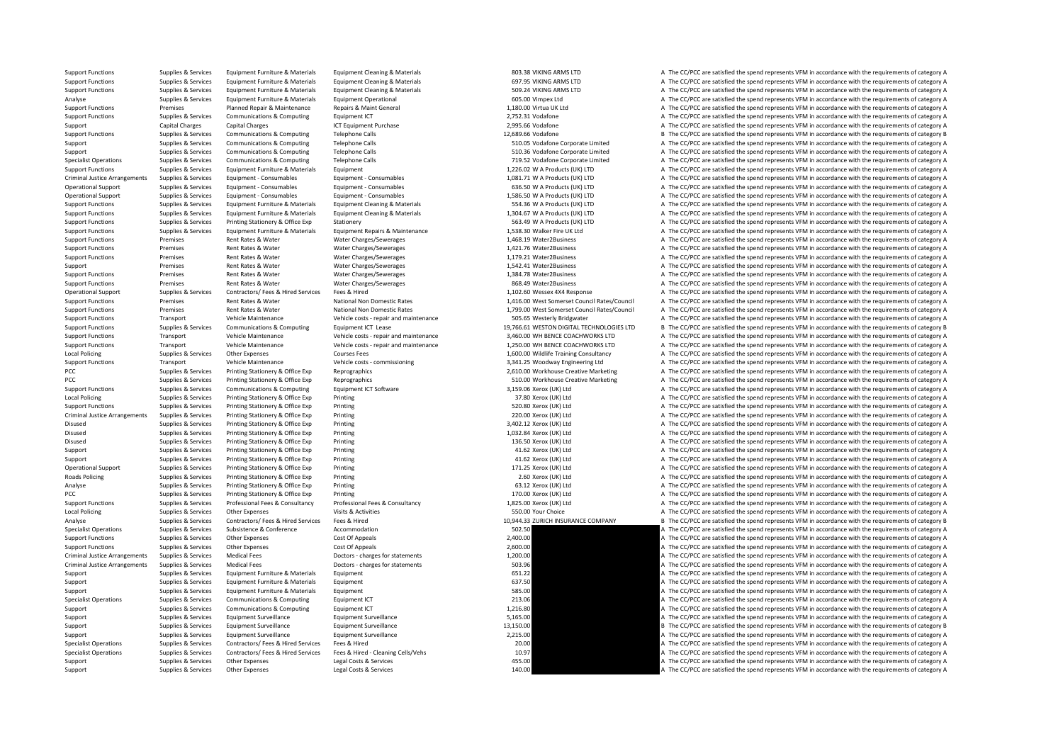Criminal JusticeLocal Policing **Local Policing** Criminal Justice**Roads Policing Local Policing** Criminal JusticeCriminal Justice

Support Functions Supplies & Services Equipment Furniture & Materials Equipment Cleaning & Materials Equipment Cleaning & Materials and BO3.38 VIKING ARMS LTD A The CC/PCC are satisfied the spend represents VFM in accordan Support Functions Supplies & Services Equipment Furniture & Materials Equipment Cleaning & Materials Equipment Cleaning & Materials and the Section of Section Case of the CO/PCC are satisfied the spend represents VFM in ac Support Functions Supplies & Services Equipment Furniture & Materials Equipment Cleaning & Materials Equipment Cleaning & Materials 509.24 VIKING ARMS LTD A The CC/PCC are satisfied the spend represents VFM in accordance w Analyse Supplies & Services Equipment Furniture & Materials Equipment Operational Equipment Operational 605.00 Vimpex Ltd A The CC/PCC are satisfied the spend represents VFM in accordance with the requirements of category Premises Planned Repair & Maintenance Repairs & Maint General 1,180.00 Virtua UK Ltd A The CC/PCC are satisfied the spend represents VFM in accordance with the requirements of category A Support Functions Supplies & Services Communications & Computing Equipment ICT 2,752.31 Vodafone 2,752.31 Vodafone A The CC/PCC are satisfied the spend represents VFM in accordance with the requirements of category A Support Capital Charges Capital Charges Capital Charges ICT Equipment Purchase 2,995.66 Vodafone A The CC/PCC are satisfied the spend represents VFM in accordance with the requirements of category A Support Functions Supplies & Services Communications & Computing Telephone Calls 12,689.66 Vodafone 12,689.66 Vodafone B The CC/PCC are satisfied the spend represents VFM in accordance with the requirements of category B Support Support Supporter Support Communications & Computing Telephone Calls 510.05 Vodafone Corporate Limited A The CC/PCC are satisfied the spend represents VFM in accordance with the requirements of category A Support Supplies & Services Communications & Computing Telephone Calls 510.36 Vodafone Corporate Limited A The CC/PCC are satisfied the spend represents VFM in accordance with the requirements of category A Specialist Operations Supplies & Services Communications & Computing Telephone Calls 719.52 Vodafone Corporate Limited A The CC/PCC are satisfied the spend represents VFM in accordance with the requirements of category A Support Functions Support Factorials Services Equipment Functions Equipment 1,226.02 W A Products (UK) LTD A The CC/PCC are satisfied the spend represents VFM in accordance with the requirements of category A Arrangements Supplies Equipment Consumables Equipment Consumables Equipment Consumables Equipment Consumables Equipments of category A The CC/PCC are satisfied the spend represents VFM in accordance with the requirements o Operational Support Supplies & Services Equipment - Consumables Equipment - Consumables Equipment - Consumables Equipment - Consumables Equipment - Consumables examples and the spend represents VFM in accordance with the r Operational Support Supplies & Services Equipment - Consumables Equipment - Consumables Equipment - Consumables Equipment - Consumables Equipment - Consumables and the spend represents VFM in accordance with the requiremen Support Functions Supplies & Services Equipment Furniture & Materials Equipment Cleaning & Materials Equipment Cleaning & Materials S54.36 W A Products (UK) LTD A The CC/PCC are satisfied the spend represents VFM in accord Supplies & Services Equipment Furniture & Materials Equipment Cleaning & Materials Equipment Cleaning & Materials 1.304.67 W A Products (UK) LTD A The CC/PCC are satisfied the spend represents VFM in accordance with the re Support Functions Supplies & Services Printing Stationery & Office Exp Stationery Stationery 563.49 W A Products (UK) LTD A The CC/PCC are satisfied the spend represents VFM in accordance with the requirements of category Support Functions Supporters Support Functions Equipment Furniture & Materials Equipment Repairs & Maintenance 1.538.30 Walker Fire UK Ltd A The CC/PCC are satisfied the spend represents VFM in accordance with the requirem Support Functions Premises Rent Rates & Water Water Charges/Sewerages A The CARGES A The CC/PCC are satisfied the spend represents VFM in accordance with the requirements of category A Support Functions Premises Rent Rates & Water Water Charges/Sewerages A The Charges A The CC/PCC are satisfied the spend represents VFM in accordance with the requirements of category A Support Functions Premises Rent Rates & Water Water Charges/Sewerages A The Charges A The CC/PCC are satisfied the spend represents VFM in accordance with the requirements of category A Support Premises Rent Rates & Water Water Charges/Sewerages A The Stategory A The CC/PCC are satisfied the spend represents VFM in accordance with the requirements of category A Support Functions Premises Premises Rent Rates & Water Water Charges/Sewerages Mater 2Business 1,384.78 Water2Business A The CC/PCC are satisfied the spend represents VFM in accordance with the requirements of category A T Premises Rent Rates & Water Water Charges/Sewerages Mater and the Support Rates and the CC/PCC are satisfied the spend represents VFM in accordance with the requirements of category A Operational Support Support Support Support Support Contractors/ Fees & Hired Services Fees & Hired 1,102.60 Wessex 4X4 Response A The CC/PCC are satisfied the spend represents VFM in accordance with the requirements of ca Support Functions Premises Rent Rates & Water National Non Domestic Rates 1,416.00 West Somerset Council Rates/Council A The CC/PCC are satisfied the spend represents VFM in accordance with the requirements of category A Support Functions Premises Rent Rates & Water National Non Domestic Rates Rent Rates 1,799.00 West Somerset Council Rates/Council A The CC/PCC are satisfied the spend represents VFM in accordance with the requirements of c Transport Vehicle Maintenance Vehicle costs ‐ repair and maintenance 505.65 Westerly Bridgwater A The CC/PCC are satisfied the spend represents VFM in accordance with the requirements of category A Support Functions Supplies & Services Communications & Computing Equipment ICT Lease 19,766.61 WESTON DIGITAL TECHNOLOGIES LTD B The CC/PCC are satisfied the spend represents VFM in accordance with the requirements of cate Support Functions Transport Vehicle Maintenance Vehicle costs ‐ repair and maintenance 3,460.00 WH BENCE COACHWORKS LTD A The CC/PCC are satisfied the spend represents VFM in accordance with the requirements of category A Support Functions Transport Vehicle Maintenance Vehicle costs - repair and maintenance Vehicle costs - repair and maintenance 1,250.00 WH BENCE COACHWORKS LTD A The CC/PCC are satisfied the spend represents VFM in accordan A The CC/PCC are satisfied the spend represents VFM in accordance with the requirements of category A Support Functions Transport Vehicle Maintenance Vehicle costs ‐ commissioning 3,341.25 Woodway Engineering Ltd A The CC/PCC are satisfied the spend represents VFM in accordance with the requirements of category A PCC Supplies & Services Printing Stationery & Office Exp Reprographics 2,610.00 Workhouse Creative Marketing A The CC/PCC are satisfied the spend represents VFM in accordance with the requirements of category A PCC Supplies & Services Printing Stationery & Office Exp Reprographics 510.00 Workhouse Creative Marketing A The CC/PCC are satisfied the spend represents VFM in accordance with the requirements of category A Support Functions Supplies & Services Communications & Computing Equipment ICT Software 5,159.06 Xerox (A The CC/PCC are satisfied the spend represents VFM in accordance with the requirements of category A Supplies & Services Printing Stationery & Office Exp Printing Printing States and States and States and States and States and States and States and States and States and The CC/PCC are satisfied the spend represents VFM in Support Functions Supplies & Services Printing Stationery & Office Exp Printing States Printing 520.80 Xerox (UK) Ltd A The CC/PCC are satisfied the spend represents VFM in accordance with the requirements of category A Supplies & Services Printing Stationery & Office Exp Printing 2000 Xerox (UK) Ltd 220.00 Xerox (UK) Ltd A The CC/PCC are satisfied the spend represents VFM in accordance with the requirements of category A Disused Supplies & Services Printing Stationery & Office Exp Printing Printing Stationery and Disuming and Stategory A The CC/PCC are satisfied the spend represents VFM in accordance with the requirements of category A The Disused Supplies & Services Printing Stationery & Office Exp Printing Printing and the service and the CC/PCC are satisfied the spend represents VFM in accordance with the requirements of category A The CC/PCC are satisfie Supplies & Services Printing Stationery & Office Exp Printing express and the Supplies of category and the Supplies 136.50 Xerox (UK) Ltd A The CC/PCC are satisfied the spend represents VFM in accordance with the requireme Support Supplies & Services Printing Stationery & Office Exp Printing 41.62 Xerox (UK) Ltd A The CC/PCC are satisfied the spend represents VFM in accordance with the requirements of category A Support Supplies & Services Printing Stationery & Office Exp Printing Printing and A The CONCLUS A The CCC are satisfied the spend represents VFM in accordance with the requirements of category A The CONCLUS A The CCC are Printing and Support Support Support Support Support Supplies A The CC/PCC are satisfied the spend represents VFM in accordance with the requirements of category A Supplies & Services Printing Stationery & Office Exp Printing Printing Printing 2.60 Xerox (UK) Ltd A The CC/PCC are satisfied the spend represents VFM in accordance with the requirements of category A Analyse Supplies & Services Printing Stationery & Office Exp Printing experime that the manufold of the Stationery A The CC/PCC are satisfied the spend represents VFM in accordance with the requirements of category A The C PCC Supplies & Services Printing Stationery & Office Eve Printing 2001 Verpose 2002 170.00 Xerox (UK) Ltd A The CC/PCC are satisfied the spend represents VFM in accordance with the requirements of category A The CC/PCC are Support Functions Supplies & Services Professional Fees & Consultancy Professional Fees & Consultancy Professional Fees & Consultancy Professional Fees & Consultancy (UK) Ltd A The CC/PCC are satisfied the spend represents Supplies Services Other Expenses Visits & Activities Supplies Contact A The CC/PCC are satisfied the spend represents VFM in accordance with the requirements of category A Analyse Supplies & Services Contractors/ Fees & Hired Services Fees & Hired 10,944.33 ZURICH INSURANCE COMPANY B The CC/PCC are satisfied the spend represents VFM in accordance with the requirements of category Equipements Supplies Subsistence & Conference Accommodation and the specialist of category A The CC/PCC are satisfied the spend represents VFM in accordance with the requirements of category A Support Functions Supplies & Services Other Expenses Cost Of Appeals Cost Of Appeals 2,400.00 A The CC/PCC are satisfied the spend represents VFM in accordance with the requirements of category A Support Functions Supplies & Services Other Expenses Cost Of Appeals Cost Of Appeals 2,600.00 A The CC/PCC are satisfied the spend represents VFM in accordance with the requirements of category A Arrangements Supplies & Services Medical Fees Doctors ‐ charges for statements 1,200.00 A The CC/PCC are satisfied the spend represents VFM in accordance with the requirements of category A Supplies & Services Medical Fees Doctors - charges for statements Supplies and the Supplies of category A The CC/PCC are satisfied the spend represents VFM in accordance with the requirements of category A Support Supplies & Services Equipment Furniture & Materials Equipment Equipment 651.22 651.22 A The CC/PCC are satisfied the spend represents VFM in accordance with the requirements of category A Support Supplies & Services Equipment Furniture & Materials Equipment extension Equipment and the stategory A The CC/PCC are satisfied the spend represents VFM in accordance with the requirements of category A Support Supplies & Services Equipment Furniture & Materials Equipment 585.00 585.00 585.00 A The CC/PCC are satisfied the spend represents VFM in accordance with the requirements of category A Specialist Operations Supplies & Services Communications & Computing Equipment ICT 213.06 213.06 A The CC/PCC are satisfied the spend represents VFM in accordance with the requirements of category A Support Supplies & Services Communications & Computing Equipment ICT 1,216.80 A The CC/PCC are satisfied the spend represents VFM in accordance with the requirements of category A Support Supplies & Services Equipment Surveillance Equipment Surveillance Equipment Surveillance Equipment Surveillance 5,165.00 A The CC/PCC are satisfied the spend represents VFM in accordance with the requirements of ca Support Support Support Support Surveillance Equipment Surveillance 13,150.00 B The CC/PCC are satisfied the spend represents VFM in accordance with the requirements of category B Support Support Support Support Support Surveillance Equipment Surveillance Equipment Surveillance Equipment Surveillance 2,215.00 2,215.00 A The CC/PCC are satisfied the spend represents VFM in accordance with the require Specialist Operations Supplies & Services Contractors/ Fees & Hired Services Fees & Hired Services Fees & Hired 20.00 20.00 A The CC/PCC are satisfied the spend represents VFM in accordance with the requirements of categor Specialist Operations Supplies & Services Contractors/ Fees & Hired Services Fees & Hired - Cleaning Cells/Vehs 10.97 10.97 A The CC/PCC are satisfied the spend represents VFM in accordance with the requirements of categor Support Supplies & Services Other Expenses Legal Costs & Services 455.00 A The CC/PCC are satisfied the spend represents VFM in accordance with the requirements of category A Support Supplies & Services Other Expenses Legal Costs & Services 140.00 A The CC/PCC are satisfied the spend represents VFM in accordance with the requirements of category A